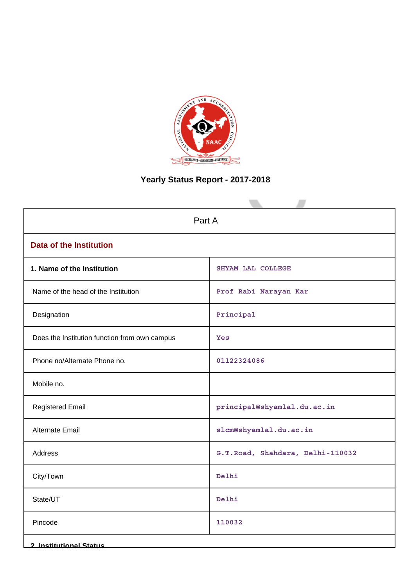

# **Yearly Status Report - 2017-2018**

| Part A                                        |                                  |  |  |  |
|-----------------------------------------------|----------------------------------|--|--|--|
| <b>Data of the Institution</b>                |                                  |  |  |  |
| 1. Name of the Institution                    | SHYAM LAL COLLEGE                |  |  |  |
| Name of the head of the Institution           | Prof Rabi Narayan Kar            |  |  |  |
| Designation                                   | $\verb!Principal!$               |  |  |  |
| Does the Institution function from own campus | Yes                              |  |  |  |
| Phone no/Alternate Phone no.                  | 01122324086                      |  |  |  |
| Mobile no.                                    |                                  |  |  |  |
| <b>Registered Email</b>                       | principal@shyamlal.du.ac.in      |  |  |  |
| Alternate Email                               | slcm@shyamlal.du.ac.in           |  |  |  |
| Address                                       | G.T.Road, Shahdara, Delhi-110032 |  |  |  |
| City/Town                                     | Delhi                            |  |  |  |
| State/UT                                      | Delhi                            |  |  |  |
| Pincode                                       | 110032                           |  |  |  |
| <b>2. Institutional Status</b>                |                                  |  |  |  |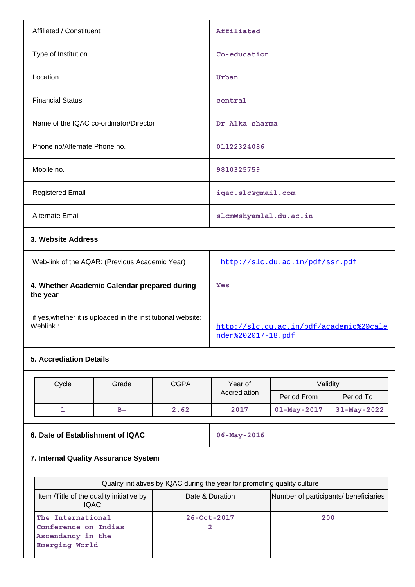| Affiliated / Constituent                                 | Affiliated                      |
|----------------------------------------------------------|---------------------------------|
| Type of Institution                                      | Co-education                    |
| Location                                                 | Urban                           |
| <b>Financial Status</b>                                  | central                         |
| Name of the IQAC co-ordinator/Director                   | Dr Alka sharma                  |
| Phone no/Alternate Phone no.                             | 01122324086                     |
| Mobile no.                                               | 9810325759                      |
| <b>Registered Email</b>                                  | iqac.slc@gmail.com              |
| Alternate Email                                          | slcm@shyamlal.du.ac.in          |
| 3. Website Address                                       |                                 |
| Web-link of the AQAR: (Previous Academic Year)           | http://slc.du.ac.in/pdf/ssr.pdf |
| 4. Whether Academic Calendar prepared during<br>the year | Yes                             |

if yes,whether it is uploaded in the institutional website:

# **5. Accrediation Details**

| Cycle | Grade | <b>CGPA</b> | Year of<br>Accrediation | Validity          |             |
|-------|-------|-------------|-------------------------|-------------------|-------------|
|       |       |             |                         | Period From       | Period To   |
|       | $B+$  | 2.62        | 2017                    | $01 - May - 2017$ | 31-May-2022 |

# **6. Date of Establishment of IQAC** 06-May-2016

[nder%202017-18.pdf](http://slc.du.ac.in/pdf/academic%20calender%202017-18.pdf)

[http://slc.du.ac.in/pdf/academic%20cale](http://slc.du.ac.in/pdf/academic%20calender%202017-18.pdf)

# **7. Internal Quality Assurance System**

| Quality initiatives by IQAC during the year for promoting quality culture        |                   |                                       |  |  |
|----------------------------------------------------------------------------------|-------------------|---------------------------------------|--|--|
| Item / Title of the quality initiative by<br><b>IQAC</b>                         | Date & Duration   | Number of participants/ beneficiaries |  |  |
| The International<br>Conference on Indias<br>Ascendancy in the<br>Emerging World | $26 - 0ct - 2017$ | 200                                   |  |  |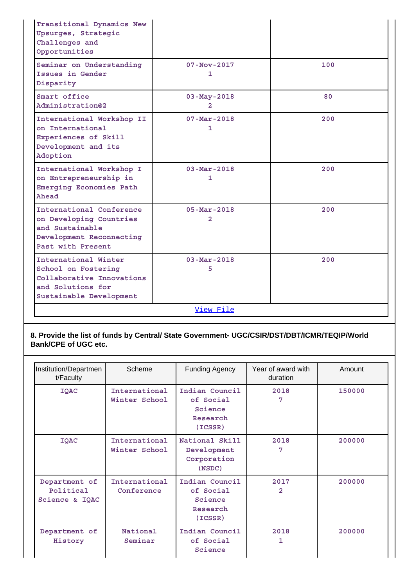| Transitional Dynamics New<br>Upsurges, Strategic<br>Challenges and<br>Opportunities                                      |                                            |     |
|--------------------------------------------------------------------------------------------------------------------------|--------------------------------------------|-----|
| Seminar on Understanding<br>Issues in Gender<br>Disparity                                                                | $07 - Nov - 2017$<br>1                     | 100 |
| Smart office<br>Administration@2                                                                                         | $03 - May - 2018$<br>2                     | 80  |
| International Workshop II<br>on International<br>Experiences of Skill<br>Development and its<br>Adoption                 | $07 - Mar - 2018$<br>1                     | 200 |
| International Workshop I<br>on Entrepreneurship in<br>Emerging Economies Path<br>Ahead                                   | $03 - \text{Mar} - 2018$<br>1              | 200 |
| International Conference<br>on Developing Countries<br>and Sustainable<br>Development Reconnecting<br>Past with Present  | $05 - \text{Mar} - 2018$<br>$\overline{2}$ | 200 |
| International Winter<br>School on Fostering<br>Collaborative Innovations<br>and Solutions for<br>Sustainable Development | $03 - Mar - 2018$<br>5                     | 200 |
|                                                                                                                          | View File                                  |     |

**8. Provide the list of funds by Central/ State Government- UGC/CSIR/DST/DBT/ICMR/TEQIP/World Bank/CPE of UGC etc.**

| Institution/Departmen<br>t/Faculty           | Scheme                         | <b>Funding Agency</b>                                         | Year of award with<br>duration | Amount |
|----------------------------------------------|--------------------------------|---------------------------------------------------------------|--------------------------------|--------|
| IQAC                                         | International<br>Winter School | Indian Council<br>of Social<br>Science<br>Research<br>(ICSSR) | 2018<br>7                      | 150000 |
| <b>IQAC</b>                                  | International<br>Winter School | National Skill<br>Development<br>Corporation<br>(NSDC)        | 2018<br>7                      | 200000 |
| Department of<br>Political<br>Science & IQAC | International<br>Conference    | Indian Council<br>of Social<br>Science<br>Research<br>(ICSSR) | 2017<br>2                      | 200000 |
| Department of<br>History                     | National<br>Seminar            | Indian Council<br>of Social<br>Science                        | 2018<br>1                      | 200000 |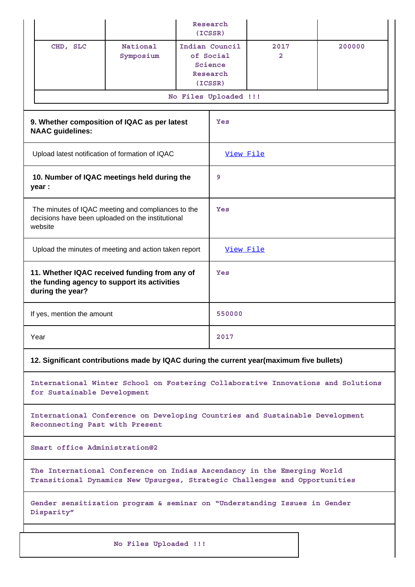|                                                                                                                                                       |                                                       |        | Research<br>(ICSSR)                                           |           |                                                                                  |  |
|-------------------------------------------------------------------------------------------------------------------------------------------------------|-------------------------------------------------------|--------|---------------------------------------------------------------|-----------|----------------------------------------------------------------------------------|--|
| CHD, SLC                                                                                                                                              | National<br>Symposium                                 |        | Indian Council<br>of Social<br>Science<br>Research<br>(ICSSR) | 2017<br>2 | 200000                                                                           |  |
|                                                                                                                                                       |                                                       |        | No Files Uploaded !!!                                         |           |                                                                                  |  |
| 9. Whether composition of IQAC as per latest<br><b>NAAC</b> guidelines:                                                                               |                                                       |        | Yes                                                           |           |                                                                                  |  |
| Upload latest notification of formation of IQAC                                                                                                       |                                                       |        | View File                                                     |           |                                                                                  |  |
| 10. Number of IQAC meetings held during the<br>year :                                                                                                 |                                                       |        | 9                                                             |           |                                                                                  |  |
| The minutes of IQAC meeting and compliances to the<br>decisions have been uploaded on the institutional<br>website                                    |                                                       |        | Yes                                                           |           |                                                                                  |  |
|                                                                                                                                                       | Upload the minutes of meeting and action taken report |        |                                                               | View File |                                                                                  |  |
| 11. Whether IQAC received funding from any of<br>the funding agency to support its activities<br>during the year?                                     |                                                       |        | Yes                                                           |           |                                                                                  |  |
| If yes, mention the amount                                                                                                                            |                                                       | 550000 |                                                               |           |                                                                                  |  |
| Year                                                                                                                                                  |                                                       |        |                                                               |           |                                                                                  |  |
| 12. Significant contributions made by IQAC during the current year(maximum five bullets)                                                              |                                                       |        |                                                               |           |                                                                                  |  |
| for Sustainable Development                                                                                                                           |                                                       |        |                                                               |           | International Winter School on Fostering Collaborative Innovations and Solutions |  |
| International Conference on Developing Countries and Sustainable Development<br>Reconnecting Past with Present                                        |                                                       |        |                                                               |           |                                                                                  |  |
| Smart office Administration@2                                                                                                                         |                                                       |        |                                                               |           |                                                                                  |  |
| The International Conference on Indias Ascendancy in the Emerging World<br>Transitional Dynamics New Upsurges, Strategic Challenges and Opportunities |                                                       |        |                                                               |           |                                                                                  |  |
| Gender sensitization program & seminar on "Understanding Issues in Gender<br>Disparity"                                                               |                                                       |        |                                                               |           |                                                                                  |  |
|                                                                                                                                                       | No Files Uploaded !!!                                 |        |                                                               |           |                                                                                  |  |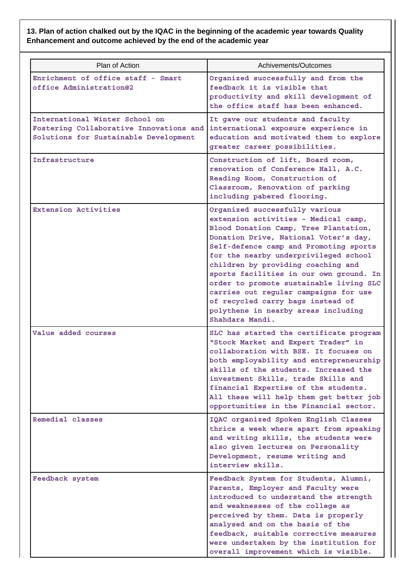# **13. Plan of action chalked out by the IQAC in the beginning of the academic year towards Quality Enhancement and outcome achieved by the end of the academic year**

| Plan of Action                                                                                                     | Achivements/Outcomes                                                                                                                                                                                                                                                                                                                                                                                                                                                                                            |
|--------------------------------------------------------------------------------------------------------------------|-----------------------------------------------------------------------------------------------------------------------------------------------------------------------------------------------------------------------------------------------------------------------------------------------------------------------------------------------------------------------------------------------------------------------------------------------------------------------------------------------------------------|
| Enrichment of office staff - Smart<br>office Administration@2                                                      | Organized successfully and from the<br>feedback it is visible that<br>productivity and skill development of<br>the office staff has been enhanced.                                                                                                                                                                                                                                                                                                                                                              |
| International Winter School on<br>Fostering Collaborative Innovations and<br>Solutions for Sustainable Development | It gave our students and faculty<br>international exposure experience in<br>education and motivated them to explore<br>greater career possibilities.                                                                                                                                                                                                                                                                                                                                                            |
| Infrastructure                                                                                                     | Construction of lift, Board room,<br>renovation of Conference Hall, A.C.<br>Reading Room, Construction of<br>Classroom, Renovation of parking<br>including pabered flooring.                                                                                                                                                                                                                                                                                                                                    |
| <b>Extension Activities</b>                                                                                        | Organized successfully various<br>extension activities - Medical camp,<br>Blood Donation Camp, Tree Plantation,<br>Donation Drive, National Voter's day,<br>Self-defence camp and Promoting sports<br>for the nearby underprivileged school<br>children by providing coaching and<br>sports facilities in our own ground. In<br>order to promote sustainable living SLC<br>carries out regular campaigns for use<br>of recycled carry bags instead of<br>polythene in nearby areas including<br>Shahdara Mandi. |
| Value added courses                                                                                                | SLC has started the certificate program<br>"Stock Market and Expert Trader" in<br>collaboration with BSE. It focuses on<br>both employability and entrepreneurship<br>skills of the students. Increased the<br>investment Skills, trade Skills and<br>financial Expertise of the students.<br>All these will help them get better job<br>opportunities in the Financial sector.                                                                                                                                 |
| Remedial classes                                                                                                   | IQAC organized Spoken English Classes<br>thrice a week where apart from speaking<br>and writing skills, the students were<br>also given lectures on Personality<br>Development, resume writing and<br>interview skills.                                                                                                                                                                                                                                                                                         |
| Feedback system                                                                                                    | Feedback System for Students, Alumni,<br>Parents, Employer and Faculty were<br>introduced to understand the strength<br>and weaknesses of the college as<br>perceived by them. Data is properly<br>analysed and on the basis of the<br>feedback, suitable corrective measures<br>were undertaken by the institution for<br>overall improvement which is visible.                                                                                                                                                |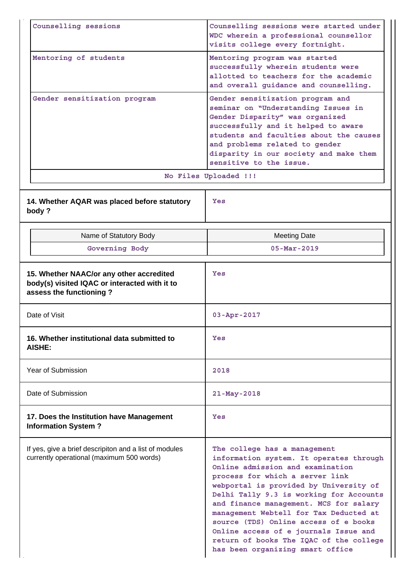| Counselling sessions                                                                                                 | Counselling sessions were started under<br>WDC wherein a professional counsellor<br>visits college every fortnight.                                                                                                                                                                                                                                                                                                                                                                      |  |  |  |
|----------------------------------------------------------------------------------------------------------------------|------------------------------------------------------------------------------------------------------------------------------------------------------------------------------------------------------------------------------------------------------------------------------------------------------------------------------------------------------------------------------------------------------------------------------------------------------------------------------------------|--|--|--|
| Mentoring of students                                                                                                | Mentoring program was started<br>successfully wherein students were<br>allotted to teachers for the academic<br>and overall guidance and counselling.                                                                                                                                                                                                                                                                                                                                    |  |  |  |
| Gender sensitization program                                                                                         | Gender sensitization program and<br>seminar on "Understanding Issues in<br>Gender Disparity" was organized<br>successfully and it helped to aware<br>students and faculties about the causes<br>and problems related to gender<br>disparity in our society and make them<br>sensitive to the issue.                                                                                                                                                                                      |  |  |  |
|                                                                                                                      | No Files Uploaded !!!                                                                                                                                                                                                                                                                                                                                                                                                                                                                    |  |  |  |
| 14. Whether AQAR was placed before statutory<br>body?                                                                | Yes                                                                                                                                                                                                                                                                                                                                                                                                                                                                                      |  |  |  |
| Name of Statutory Body                                                                                               | <b>Meeting Date</b>                                                                                                                                                                                                                                                                                                                                                                                                                                                                      |  |  |  |
| Governing Body                                                                                                       | $05 - \text{Mar} - 2019$                                                                                                                                                                                                                                                                                                                                                                                                                                                                 |  |  |  |
| 15. Whether NAAC/or any other accredited<br>body(s) visited IQAC or interacted with it to<br>assess the functioning? | Yes                                                                                                                                                                                                                                                                                                                                                                                                                                                                                      |  |  |  |
| Date of Visit                                                                                                        | $03 - Apr - 2017$                                                                                                                                                                                                                                                                                                                                                                                                                                                                        |  |  |  |
| 16. Whether institutional data submitted to<br>AISHE:                                                                | Yes                                                                                                                                                                                                                                                                                                                                                                                                                                                                                      |  |  |  |
| Year of Submission                                                                                                   | 2018                                                                                                                                                                                                                                                                                                                                                                                                                                                                                     |  |  |  |
| Date of Submission                                                                                                   | 21-May-2018                                                                                                                                                                                                                                                                                                                                                                                                                                                                              |  |  |  |
| 17. Does the Institution have Management<br><b>Information System?</b>                                               | Yes                                                                                                                                                                                                                                                                                                                                                                                                                                                                                      |  |  |  |
| If yes, give a brief descripiton and a list of modules<br>currently operational (maximum 500 words)                  | The college has a management<br>information system. It operates through<br>Online admission and examination<br>process for which a server link<br>webportal is provided by University of<br>Delhi Tally 9.3 is working for Accounts<br>and finance management. MCS for salary<br>management Webtell for Tax Deducted at<br>source (TDS) Online access of e books<br>Online access of e journals Issue and<br>return of books The IQAC of the college<br>has been organizing smart office |  |  |  |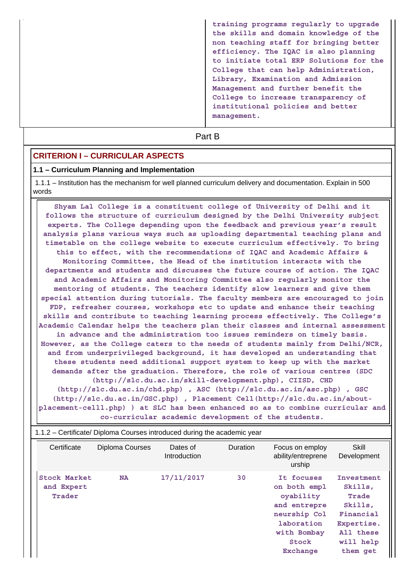**training programs regularly to upgrade the skills and domain knowledge of the non teaching staff for bringing better efficiency. The IQAC is also planning to initiate total ERP Solutions for the College that can help Administration, Library, Examination and Admission Management and further benefit the College to increase transparency of institutional policies and better management.**

# **Part B**

### **CRITERION I – CURRICULAR ASPECTS**

#### **1.1 – Curriculum Planning and Implementation**

 1.1.1 – Institution has the mechanism for well planned curriculum delivery and documentation. Explain in 500 words

 **Shyam Lal College is a constituent college of University of Delhi and it follows the structure of curriculum designed by the Delhi University subject experts. The College depending upon the feedback and previous year's result analysis plans various ways such as uploading departmental teaching plans and timetable on the college website to execute curriculum effectively. To bring this to effect, with the recommendations of IQAC and Academic Affairs & Monitoring Committee, the Head of the institution interacts with the departments and students and discusses the future course of action. The IQAC and Academic Affairs and Monitoring Committee also regularly monitor the mentoring of students. The teachers identify slow learners and give them special attention during tutorials. The faculty members are encouraged to join FDP, refresher courses, workshops etc to update and enhance their teaching skills and contribute to teaching learning process effectively. The College's Academic Calendar helps the teachers plan their classes and internal assessment in advance and the administration too issues reminders on timely basis. However, as the College caters to the needs of students mainly from Delhi/NCR, and from underprivileged background, it has developed an understanding that these students need additional support system to keep up with the market demands after the graduation. Therefore, the role of various centres (SDC (http://slc.du.ac.in/skill-development.php), CIISD, CHD (http://slc.du.ac.in/chd.php) , ASC (http://slc.du.ac.in/asc.php) , GSC (http://slc.du.ac.in/GSC.php) , Placement Cell(http://slc.du.ac.in/aboutplacement-celll.php) ) at SLC has been enhanced so as to combine curricular and**

| co-curricular academic development of the students. |  |  |  |  |  |
|-----------------------------------------------------|--|--|--|--|--|
|-----------------------------------------------------|--|--|--|--|--|

|                                             | 1.1.2 – Certificate/ Diploma Courses introduced during the academic year |                          |          |                                                                                                                                  |                                                                                                            |
|---------------------------------------------|--------------------------------------------------------------------------|--------------------------|----------|----------------------------------------------------------------------------------------------------------------------------------|------------------------------------------------------------------------------------------------------------|
| Certificate                                 | Diploma Courses                                                          | Dates of<br>Introduction | Duration | Focus on employ<br>ability/entreprene<br>urship                                                                                  | Skill<br>Development                                                                                       |
| <b>Stock Market</b><br>and Expert<br>Trader | <b>NA</b>                                                                | 17/11/2017               | 30       | It focuses<br>on both empl<br>oyability<br>and entrepre<br>neurship Col<br>laboration<br>with Bombay<br>Stock<br><b>Exchange</b> | Investment<br>Skills,<br>Trade<br>Skills,<br>Financial<br>Expertise.<br>All these<br>will help<br>them get |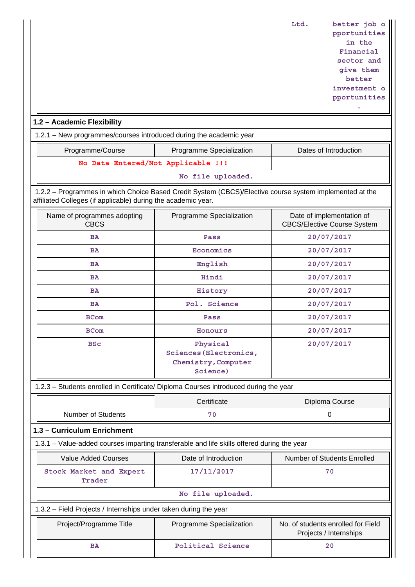**Ltd. better job o pportunities in the Financial sector and give them better investment o**

> **pportunities .**

# **1.2 – Academic Flexibility**

1.2.1 – New programmes/courses introduced during the academic year

| Programme/Course                   | Programme Specialization | Dates of Introduction |
|------------------------------------|--------------------------|-----------------------|
| No Data Entered/Not Applicable !!! |                          |                       |

#### **No file uploaded.**

 1.2.2 – Programmes in which Choice Based Credit System (CBCS)/Elective course system implemented at the affiliated Colleges (if applicable) during the academic year.

| Name of programmes adopting<br><b>CBCS</b> | Programme Specialization                                              | Date of implementation of<br><b>CBCS/Elective Course System</b> |
|--------------------------------------------|-----------------------------------------------------------------------|-----------------------------------------------------------------|
| <b>BA</b>                                  | Pass                                                                  | 20/07/2017                                                      |
| <b>BA</b>                                  | Economics                                                             | 20/07/2017                                                      |
| <b>BA</b>                                  | English                                                               | 20/07/2017                                                      |
| <b>BA</b>                                  | Hindi                                                                 | 20/07/2017                                                      |
| <b>BA</b>                                  | History                                                               | 20/07/2017                                                      |
| <b>BA</b>                                  | Pol. Science                                                          | 20/07/2017                                                      |
| <b>BCom</b>                                | Pass                                                                  | 20/07/2017                                                      |
| <b>BCom</b>                                | Honours                                                               | 20/07/2017                                                      |
| <b>BSc</b>                                 | Physical<br>Sciences (Electronics,<br>Chemistry, Computer<br>Science) | 20/07/2017                                                      |

1.2.3 – Students enrolled in Certificate/ Diploma Courses introduced during the year

|                                                                                            | Certificate              | Diploma Course                                               |  |  |  |  |
|--------------------------------------------------------------------------------------------|--------------------------|--------------------------------------------------------------|--|--|--|--|
| Number of Students                                                                         | 70                       | 0                                                            |  |  |  |  |
| 1.3 - Curriculum Enrichment                                                                |                          |                                                              |  |  |  |  |
| 1.3.1 – Value-added courses imparting transferable and life skills offered during the year |                          |                                                              |  |  |  |  |
| <b>Value Added Courses</b>                                                                 | Date of Introduction     | Number of Students Enrolled                                  |  |  |  |  |
| Stock Market and Expert<br>Trader                                                          | 17/11/2017               | 70                                                           |  |  |  |  |
| No file uploaded.                                                                          |                          |                                                              |  |  |  |  |
| 1.3.2 – Field Projects / Internships under taken during the year                           |                          |                                                              |  |  |  |  |
| Project/Programme Title                                                                    | Programme Specialization | No. of students enrolled for Field<br>Projects / Internships |  |  |  |  |
| ΒA                                                                                         | Political Science        | 20                                                           |  |  |  |  |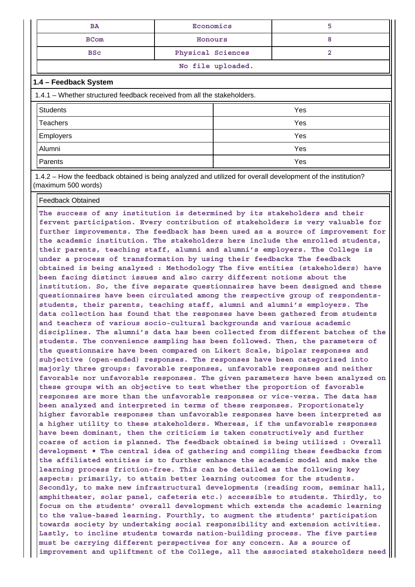| BA                              | Economics |  |  |
|---------------------------------|-----------|--|--|
| <b>BCom</b>                     | Honours   |  |  |
| Physical Sciences<br><b>BSC</b> |           |  |  |
| No file uploaded.               |           |  |  |

## **1.4 – Feedback System**

| 1.4.1 – Whether structured feedback received from all the stakeholders. |     |  |  |  |
|-------------------------------------------------------------------------|-----|--|--|--|
| <b>Students</b>                                                         | Yes |  |  |  |
| <b>Teachers</b>                                                         | Yes |  |  |  |
| <b>Employers</b>                                                        | Yes |  |  |  |
| Alumni                                                                  | Yes |  |  |  |
| Parents                                                                 | Yes |  |  |  |

 1.4.2 – How the feedback obtained is being analyzed and utilized for overall development of the institution? (maximum 500 words)

#### Feedback Obtained

**The success of any institution is determined by its stakeholders and their fervent participation. Every contribution of stakeholders is very valuable for further improvements. The feedback has been used as a source of improvement for the academic institution. The stakeholders here include the enrolled students, their parents, teaching staff, alumni and alumni's employers. The College is under a process of transformation by using their feedbacks The feedback obtained is being analyzed : Methodology The five entities (stakeholders) have been facing distinct issues and also carry different notions about the institution. So, the five separate questionnaires have been designed and these questionnaires have been circulated among the respective group of respondentsstudents, their parents, teaching staff, alumni and alumni's employers. The data collection has found that the responses have been gathered from students and teachers of various socio-cultural backgrounds and various academic disciplines. The alumni's data has been collected from different batches of the students. The convenience sampling has been followed. Then, the parameters of the questionnaire have been compared on Likert Scale, bipolar responses and subjective (open-ended) responses. The responses have been categorized into majorly three groups: favorable responses, unfavorable responses and neither favorable nor unfavorable responses. The given parameters have been analyzed on these groups with an objective to test whether the proportion of favorable responses are more than the unfavorable responses or vice-versa. The data has been analyzed and interpreted in terms of these responses. Proportionately higher favorable responses than unfavorable responses have been interpreted as a higher utility to these stakeholders. Whereas, if the unfavorable responses have been dominant, then the criticism is taken constructively and further coarse of action is planned. The feedback obtained is being utilized : Overall development • The central idea of gathering and compiling these feedbacks from the affiliated entities is to further enhance the academic model and make the learning process friction-free. This can be detailed as the following key aspects: primarily, to attain better learning outcomes for the students. Secondly, to make new infrastructural developments (reading room, seminar hall, amphitheater, solar panel, cafeteria etc.) accessible to students. Thirdly, to focus on the students' overall development which extends the academic learning to the value-based learning. Fourthly, to augment the students' participation towards society by undertaking social responsibility and extension activities. Lastly, to incline students towards nation-building process. The five parties must be carrying different perspectives for any concern. As a source of improvement and upliftment of the College, all the associated stakeholders need**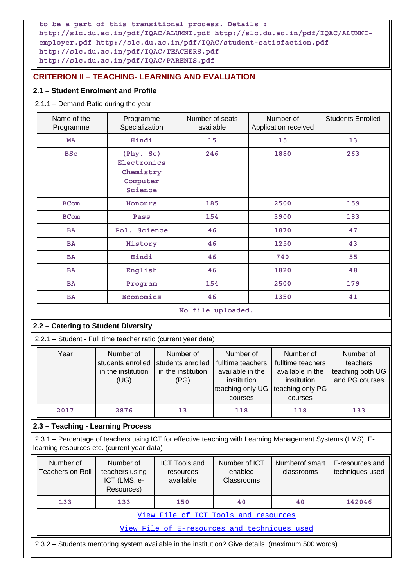**to be a part of this transitional process. Details : http://slc.du.ac.in/pdf/IQAC/ALUMNI.pdf http://slc.du.ac.in/pdf/IQAC/ALUMNIemployer.pdf http://slc.du.ac.in/pdf/IQAC/student-satisfaction.pdf http://slc.du.ac.in/pdf/IQAC/TEACHERS.pdf http://slc.du.ac.in/pdf/IQAC/PARENTS.pdf**

# **CRITERION II – TEACHING- LEARNING AND EVALUATION**

# **2.1 – Student Enrolment and Profile**

# 2.1.1 – Demand Ratio during the year

| Name of the<br>Programme                                      |                                                                                                                                                                                                                                                                                                                                      | Number of seats<br>Programme<br>Specialization<br>available |                                                |                                        |    | Number of<br>Application received |  | <b>Students Enrolled</b>                                    |
|---------------------------------------------------------------|--------------------------------------------------------------------------------------------------------------------------------------------------------------------------------------------------------------------------------------------------------------------------------------------------------------------------------------|-------------------------------------------------------------|------------------------------------------------|----------------------------------------|----|-----------------------------------|--|-------------------------------------------------------------|
| MA                                                            | Hindi                                                                                                                                                                                                                                                                                                                                |                                                             | 15                                             |                                        | 15 |                                   |  | 13                                                          |
| <b>BSc</b>                                                    | (Phy. Sc)<br>Electronics<br>Chemistry<br>Computer<br>Science                                                                                                                                                                                                                                                                         |                                                             | 246                                            |                                        |    | 1880                              |  | 263                                                         |
| <b>BCom</b>                                                   | Honours                                                                                                                                                                                                                                                                                                                              |                                                             | 185                                            |                                        |    | 2500                              |  | 159                                                         |
| <b>BCom</b>                                                   | Pass                                                                                                                                                                                                                                                                                                                                 |                                                             |                                                | 154                                    |    | 3900                              |  | 183                                                         |
| <b>BA</b>                                                     | Pol. Science                                                                                                                                                                                                                                                                                                                         |                                                             | 46                                             |                                        |    | 1870                              |  | 47                                                          |
| <b>BA</b>                                                     | History                                                                                                                                                                                                                                                                                                                              |                                                             | 46                                             |                                        |    | 1250                              |  | 43                                                          |
| <b>BA</b>                                                     | Hindi                                                                                                                                                                                                                                                                                                                                |                                                             | 46                                             |                                        |    | 740                               |  | 55                                                          |
| <b>BA</b>                                                     | English                                                                                                                                                                                                                                                                                                                              |                                                             | 46                                             |                                        |    | 1820                              |  | 48                                                          |
| <b>BA</b>                                                     | Program                                                                                                                                                                                                                                                                                                                              |                                                             | 154                                            |                                        |    | 2500                              |  | 179                                                         |
| <b>BA</b>                                                     | Economics                                                                                                                                                                                                                                                                                                                            |                                                             | 46                                             |                                        |    | 1350                              |  | 41                                                          |
|                                                               |                                                                                                                                                                                                                                                                                                                                      |                                                             |                                                | No file uploaded.                      |    |                                   |  |                                                             |
| 2.2 - Catering to Student Diversity                           |                                                                                                                                                                                                                                                                                                                                      |                                                             |                                                |                                        |    |                                   |  |                                                             |
| 2.2.1 - Student - Full time teacher ratio (current year data) |                                                                                                                                                                                                                                                                                                                                      |                                                             |                                                |                                        |    |                                   |  |                                                             |
| Year                                                          | Number of<br>Number of<br>Number of<br>Number of<br>students enrolled<br>students enrolled<br>fulltime teachers<br>fulltime teachers<br>in the institution<br>in the institution<br>available in the<br>available in the<br>(UG)<br>(PG)<br>institution<br>institution<br>teaching only PG<br>teaching only UG<br>courses<br>courses |                                                             |                                                |                                        |    |                                   |  | Number of<br>teachers<br>teaching both UG<br>and PG courses |
| 2017                                                          | 2876                                                                                                                                                                                                                                                                                                                                 |                                                             | 13                                             | 118                                    |    | 118                               |  | 133                                                         |
|                                                               | 2.3 - Teaching - Learning Process                                                                                                                                                                                                                                                                                                    |                                                             |                                                |                                        |    |                                   |  |                                                             |
|                                                               | 2.3.1 - Percentage of teachers using ICT for effective teaching with Learning Management Systems (LMS), E-<br>learning resources etc. (current year data)                                                                                                                                                                            |                                                             |                                                |                                        |    |                                   |  |                                                             |
| Number of<br><b>Teachers on Roll</b>                          | Number of<br>teachers using<br>ICT (LMS, e-<br>Resources)                                                                                                                                                                                                                                                                            |                                                             | <b>ICT Tools and</b><br>resources<br>available | Number of ICT<br>enabled<br>Classrooms |    | Numberof smart<br>classrooms      |  | E-resources and<br>techniques used                          |
| 133                                                           | 133                                                                                                                                                                                                                                                                                                                                  |                                                             | 150                                            | 40                                     |    | 40                                |  | 142046                                                      |
|                                                               |                                                                                                                                                                                                                                                                                                                                      |                                                             |                                                | View File of ICT Tools and resources   |    |                                   |  |                                                             |
| View File of E-resources and techniques used                  |                                                                                                                                                                                                                                                                                                                                      |                                                             |                                                |                                        |    |                                   |  |                                                             |

2.3.2 – Students mentoring system available in the institution? Give details. (maximum 500 words)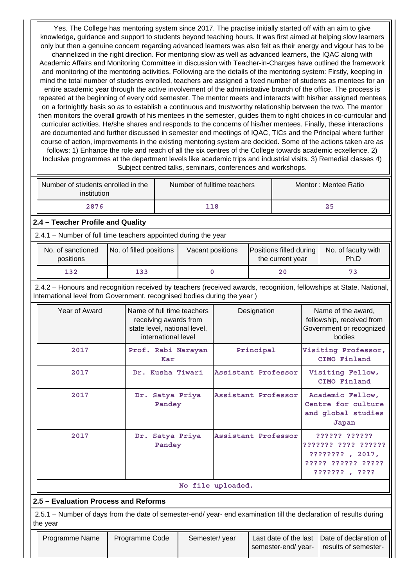Yes. The College has mentoring system since 2017. The practise initially started off with an aim to give knowledge, guidance and support to students beyond teaching hours. It was first aimed at helping slow learners only but then a genuine concern regarding advanced learners was also felt as their energy and vigour has to be channelized in the right direction. For mentoring slow as well as advanced learners, the IQAC along with Academic Affairs and Monitoring Committee in discussion with Teacher-in-Charges have outlined the framework and monitoring of the mentoring activities. Following are the details of the mentoring system: Firstly, keeping in mind the total number of students enrolled, teachers are assigned a fixed number of students as mentees for an entire academic year through the active involvement of the administrative branch of the office. The process is repeated at the beginning of every odd semester. The mentor meets and interacts with his/her assigned mentees on a fortnightly basis so as to establish a continuous and trustworthy relationship between the two. The mentor then monitors the overall growth of his mentees in the semester, guides them to right choices in co-curricular and curricular activities. He/she shares and responds to the concerns of his/her mentees. Finally, these interactions are documented and further discussed in semester end meetings of IQAC, TICs and the Principal where further course of action, improvements in the existing mentoring system are decided. Some of the actions taken are as follows: 1) Enhance the role and reach of all the six centres of the College towards academic ecxellence. 2) Inclusive programmes at the department levels like academic trips and industrial visits. 3) Remedial classes 4) Subject centred talks, seminars, conferences and workshops.

| Number of students enrolled in the<br>institution | Number of fulltime teachers | Mentor: Mentee Ratio |
|---------------------------------------------------|-----------------------------|----------------------|
| 2876                                              | 118                         | 25                   |

# **2.4 – Teacher Profile and Quality**

2.4.1 – Number of full time teachers appointed during the year

| No. of sanctioned<br>positions | No. of filled positions | Vacant positions | Positions filled during<br>the current year | No. of faculty with<br>Ph.D |
|--------------------------------|-------------------------|------------------|---------------------------------------------|-----------------------------|
| 132                            | 133                     |                  | 20                                          |                             |

 2.4.2 – Honours and recognition received by teachers (received awards, recognition, fellowships at State, National, International level from Government, recognised bodies during the year )

| Year of Award | Name of full time teachers<br>receiving awards from<br>state level, national level,<br>international level | Designation         | Name of the award,<br>fellowship, received from<br>Government or recognized<br>bodies          |
|---------------|------------------------------------------------------------------------------------------------------------|---------------------|------------------------------------------------------------------------------------------------|
| 2017          | Prof. Rabi Narayan<br>Kar                                                                                  | Principal           | Visiting Professor,<br>CIMO Finland                                                            |
| 2017          | Dr. Kusha Tiwari                                                                                           | Assistant Professor | Visiting Fellow,<br>CIMO Finland                                                               |
| 2017          | Dr. Satya Priya<br>Pandey                                                                                  | Assistant Professor | Academic Fellow,<br>Centre for culture<br>and global studies<br>Japan                          |
| 2017          | Satya Priya<br>Dr.<br>Pandey                                                                               | Assistant Professor | ?????? ??????<br>??????? ???? ??????<br>???????? 2017.<br>????? ?????? ?????<br>??????? , ???? |
|               |                                                                                                            | No file uploaded.   |                                                                                                |

# **2.5 – Evaluation Process and Reforms**

 2.5.1 – Number of days from the date of semester-end/ year- end examination till the declaration of results during the year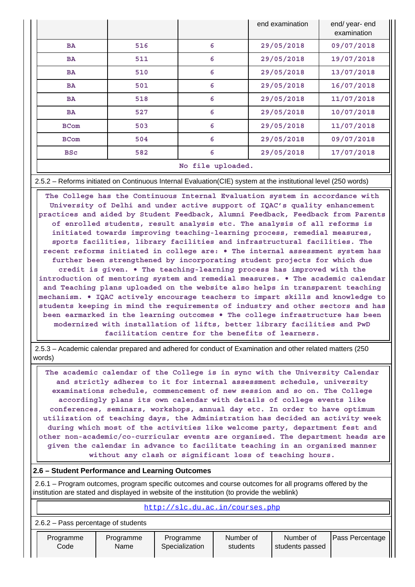|             |     |                   | end examination | end/ year- end<br>examination |
|-------------|-----|-------------------|-----------------|-------------------------------|
| <b>BA</b>   | 516 | 6                 | 29/05/2018      | 09/07/2018                    |
| <b>BA</b>   | 511 | 6                 | 29/05/2018      | 19/07/2018                    |
| <b>BA</b>   | 510 | 6                 | 29/05/2018      | 13/07/2018                    |
| <b>BA</b>   | 501 | 6                 | 29/05/2018      | 16/07/2018                    |
| <b>BA</b>   | 518 | 6                 | 29/05/2018      | 11/07/2018                    |
| <b>BA</b>   | 527 | 6                 | 29/05/2018      | 10/07/2018                    |
| <b>BCom</b> | 503 | 6                 | 29/05/2018      | 11/07/2018                    |
| <b>BCom</b> | 504 | 6                 | 29/05/2018      | 09/07/2018                    |
| <b>BSC</b>  | 582 | 6                 | 29/05/2018      | 17/07/2018                    |
|             |     | No file uploaded. |                 |                               |

2.5.2 – Reforms initiated on Continuous Internal Evaluation(CIE) system at the institutional level (250 words)

 **The College has the Continuous Internal Evaluation system in accordance with University of Delhi and under active support of IQAC's quality enhancement practices and aided by Student Feedback, Alumni Feedback, Feedback from Parents of enrolled students, result analysis etc. The analysis of all reforms is initiated towards improving teaching-learning process, remedial measures, sports facilities, library facilities and infrastructural facilities. The recent reforms initiated in college are: • The internal assessment system has further been strengthened by incorporating student projects for which due credit is given. • The teaching-learning process has improved with the introduction of mentoring system and remedial measures. • The academic calendar and Teaching plans uploaded on the website also helps in transparent teaching mechanism. • IQAC actively encourage teachers to impart skills and knowledge to students keeping in mind the requirements of industry and other sectors and has been earmarked in the learning outcomes • The college infrastructure has been modernized with installation of lifts, better library facilities and PwD facilitation centre for the benefits of learners.**

 2.5.3 – Academic calendar prepared and adhered for conduct of Examination and other related matters (250 words)

 **The academic calendar of the College is in sync with the University Calendar and strictly adheres to it for internal assessment schedule, university examinations schedule, commencement of new session and so on. The College accordingly plans its own calendar with details of college events like conferences, seminars, workshops, annual day etc. In order to have optimum utilization of teaching days, the Administration has decided an activity week during which most of the activities like welcome party, department fest and other non-academic/co-curricular events are organised. The department heads are given the calendar in advance to facilitate teaching in an organized manner without any clash or significant loss of teaching hours.**

### **2.6 – Student Performance and Learning Outcomes**

 2.6.1 – Program outcomes, program specific outcomes and course outcomes for all programs offered by the institution are stated and displayed in website of the institution (to provide the weblink)

|                   | http://slc.du.ac.in/courses.php       |                   |                             |                       |                              |                 |
|-------------------|---------------------------------------|-------------------|-----------------------------|-----------------------|------------------------------|-----------------|
|                   | $2.6.2$ – Pass percentage of students |                   |                             |                       |                              |                 |
| Programme<br>Code |                                       | Programme<br>Name | Programme<br>Specialization | Number of<br>students | Number of<br>students passed | Pass Percentage |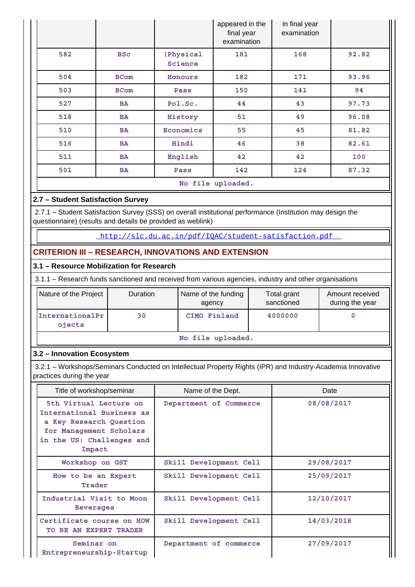|     |             |                      | appeared in the<br>final year<br>examination | in final year<br>examination |       |
|-----|-------------|----------------------|----------------------------------------------|------------------------------|-------|
| 582 | <b>BSc</b>  | (Physical<br>Science | 181                                          | 168                          | 92.82 |
| 504 | <b>BCom</b> | Honours              | 182                                          | 171                          | 93.96 |
| 503 | <b>BCom</b> | Pass                 | 150                                          | 141                          | 94    |
| 527 | BA          | Pol.Sc.              | 44                                           | 43                           | 97.73 |
| 518 | BA          | History              | 51                                           | 49                           | 96.08 |
| 510 | <b>BA</b>   | Economics            | 55                                           | 45                           | 81.82 |
| 516 | BA          | Hindi                | 46                                           | 38                           | 82.61 |
| 511 | BA          | English              | 42                                           | 42                           | 100   |
| 501 | BA          | Pass                 | 142                                          | 124                          | 87.32 |
|     |             |                      | No file uploaded.                            |                              |       |

# **2.7 – Student Satisfaction Survey**

 2.7.1 – Student Satisfaction Survey (SSS) on overall institutional performance (Institution may design the questionnaire) (results and details be provided as weblink)

<http://slc.du.ac.in/pdf/IQAC/student-satisfaction.pdf>

# **CRITERION III – RESEARCH, INNOVATIONS AND EXTENSION**

# **3.1 – Resource Mobilization for Research**

3.1.1 – Research funds sanctioned and received from various agencies, industry and other organisations

| Nature of the Project     | <b>Duration</b> | Name of the funding<br>agency | Total grant<br>sanctioned | Amount received<br>during the year |
|---------------------------|-----------------|-------------------------------|---------------------------|------------------------------------|
| InternationalPr<br>ojects | 30              | CIMO Finland                  | 4000000                   |                                    |

#### **No file uploaded.**

### **3.2 – Innovation Ecosystem**

 3.2.1 – Workshops/Seminars Conducted on Intellectual Property Rights (IPR) and Industry-Academia Innovative practices during the year

| Title of workshop/seminar                                                                                                                        | Name of the Dept.      | Date       |  |
|--------------------------------------------------------------------------------------------------------------------------------------------------|------------------------|------------|--|
| 5th Virtual Lecture on<br>International Business as<br>a Key Research Question<br>for Management Scholars<br>in the US: Challenges and<br>Impact | Department of Commerce | 08/08/2017 |  |
| Workshop on GST                                                                                                                                  | Skill Development Cell | 29/08/2017 |  |
| How to be an Expert<br>Trader                                                                                                                    | Skill Development Cell | 25/09/2017 |  |
| Industrial Visit to Moon<br><b>Beverages</b>                                                                                                     | Skill Development Cell | 12/10/2017 |  |
| Certificate course on HOW<br>TO BE AN EXPERT TRADER                                                                                              | Skill Development Cell | 14/03/2018 |  |
| Seminar on<br>Entrepreneurship-Startup                                                                                                           | Department of commerce | 27/09/2017 |  |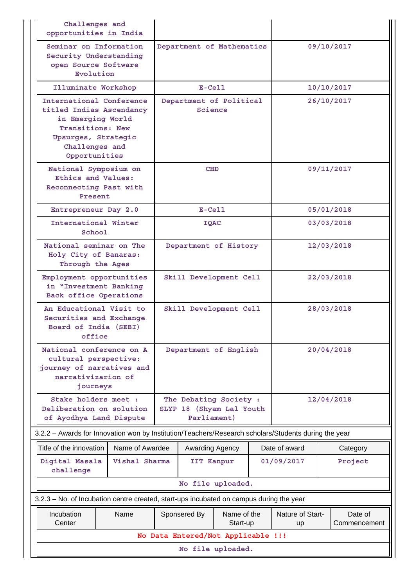| Challenges and<br>opportunities in India |                                                                                                                                                         |                 |                        |                       |                                                    |  |                        |                         |  |
|------------------------------------------|---------------------------------------------------------------------------------------------------------------------------------------------------------|-----------------|------------------------|-----------------------|----------------------------------------------------|--|------------------------|-------------------------|--|
|                                          | Seminar on Information<br>Security Understanding<br>open Source Software<br>Evolution                                                                   |                 |                        |                       | Department of Mathematics                          |  |                        | 09/10/2017              |  |
|                                          | Illuminate Workshop                                                                                                                                     |                 | $E-Cell$               |                       |                                                    |  | 10/10/2017             |                         |  |
|                                          | International Conference<br>titled Indias Ascendancy<br>in Emerging World<br>Transitions: New<br>Upsurges, Strategic<br>Challenges and<br>Opportunities |                 |                        | Science               | Department of Political                            |  |                        | 26/10/2017              |  |
|                                          | National Symposium on<br>Ethics and Values:<br>Reconnecting Past with<br>Present                                                                        |                 |                        | <b>CHD</b>            |                                                    |  |                        | 09/11/2017              |  |
|                                          | Entrepreneur Day 2.0                                                                                                                                    |                 |                        | $E-Cell$              |                                                    |  |                        | 05/01/2018              |  |
|                                          | International Winter<br>School                                                                                                                          |                 |                        | IQAC                  |                                                    |  |                        | 03/03/2018              |  |
|                                          | National seminar on The<br>Holy City of Banaras:<br>Through the Ages                                                                                    |                 |                        | Department of History |                                                    |  | 12/03/2018             |                         |  |
|                                          | Employment opportunities<br>in "Investment Banking<br>Back office Operations                                                                            |                 |                        |                       | Skill Development Cell                             |  |                        | 22/03/2018              |  |
|                                          | An Educational Visit to<br>Securities and Exchange<br>Board of India (SEBI)<br>office                                                                   |                 | Skill Development Cell |                       |                                                    |  | 28/03/2018             |                         |  |
|                                          | National conference on A<br>cultural perspective:<br>journey of narratives and<br>narrativizarion of<br>journeys                                        |                 |                        |                       | Department of English                              |  |                        | 20/04/2018              |  |
|                                          | Stake holders meet :<br>Deliberation on solution<br>of Ayodhya Land Dispute                                                                             |                 |                        | Parliament)           | The Debating Society :<br>SLYP 18 (Shyam Lal Youth |  |                        | 12/04/2018              |  |
|                                          | 3.2.2 - Awards for Innovation won by Institution/Teachers/Research scholars/Students during the year                                                    |                 |                        |                       |                                                    |  |                        |                         |  |
|                                          | Title of the innovation                                                                                                                                 | Name of Awardee |                        | Awarding Agency       |                                                    |  | Date of award          | Category                |  |
|                                          | Digital Masala<br>challenge                                                                                                                             | Vishal Sharma   |                        | IIT Kanpur            |                                                    |  | 01/09/2017             | Project                 |  |
|                                          |                                                                                                                                                         |                 |                        |                       | No file uploaded.                                  |  |                        |                         |  |
|                                          | 3.2.3 - No. of Incubation centre created, start-ups incubated on campus during the year                                                                 |                 |                        |                       |                                                    |  |                        |                         |  |
|                                          | Incubation<br>Center                                                                                                                                    | Name            |                        | Sponsered By          | Name of the<br>Start-up                            |  | Nature of Start-<br>up | Date of<br>Commencement |  |
|                                          |                                                                                                                                                         |                 |                        |                       | No Data Entered/Not Applicable !!!                 |  |                        |                         |  |
|                                          | No file uploaded.                                                                                                                                       |                 |                        |                       |                                                    |  |                        |                         |  |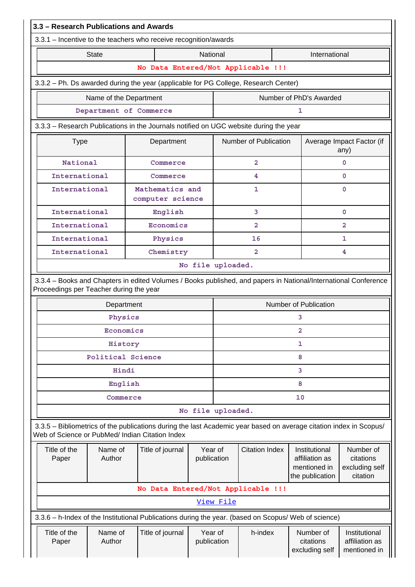| 3.3 - Research Publications and Awards                                                                                                                                |                        |                                     |                        |           |                       |    |                                                                    |                                                      |
|-----------------------------------------------------------------------------------------------------------------------------------------------------------------------|------------------------|-------------------------------------|------------------------|-----------|-----------------------|----|--------------------------------------------------------------------|------------------------------------------------------|
| 3.3.1 - Incentive to the teachers who receive recognition/awards                                                                                                      |                        |                                     |                        |           |                       |    |                                                                    |                                                      |
|                                                                                                                                                                       | <b>State</b>           |                                     | National               |           |                       |    | International                                                      |                                                      |
|                                                                                                                                                                       |                        | No Data Entered/Not Applicable !!!  |                        |           |                       |    |                                                                    |                                                      |
| 3.3.2 - Ph. Ds awarded during the year (applicable for PG College, Research Center)                                                                                   |                        |                                     |                        |           |                       |    |                                                                    |                                                      |
|                                                                                                                                                                       | Name of the Department |                                     |                        |           |                       |    | Number of PhD's Awarded                                            |                                                      |
|                                                                                                                                                                       | Department of Commerce |                                     |                        |           |                       | 1  |                                                                    |                                                      |
| 3.3.3 - Research Publications in the Journals notified on UGC website during the year                                                                                 |                        |                                     |                        |           |                       |    |                                                                    |                                                      |
| <b>Type</b>                                                                                                                                                           |                        | Department                          |                        |           | Number of Publication |    |                                                                    | Average Impact Factor (if<br>any)                    |
| <b>National</b>                                                                                                                                                       |                        | Commerce                            |                        |           | $\overline{2}$        |    |                                                                    | 0                                                    |
| International                                                                                                                                                         |                        | Commerce                            |                        |           | 4                     |    |                                                                    | 0                                                    |
| International                                                                                                                                                         |                        | Mathematics and<br>computer science |                        |           | 1                     |    |                                                                    | 0                                                    |
| International                                                                                                                                                         |                        | English                             |                        |           | $\overline{3}$        |    |                                                                    | 0                                                    |
| International                                                                                                                                                         |                        | Economics                           |                        |           | $\overline{2}$        |    |                                                                    | 2                                                    |
| International                                                                                                                                                         |                        | Physics                             |                        |           | 16                    |    |                                                                    | 1                                                    |
| International<br>Chemistry<br>$\overline{2}$<br>4                                                                                                                     |                        |                                     |                        |           |                       |    |                                                                    |                                                      |
| No file uploaded.                                                                                                                                                     |                        |                                     |                        |           |                       |    |                                                                    |                                                      |
| 3.3.4 - Books and Chapters in edited Volumes / Books published, and papers in National/International Conference<br>Proceedings per Teacher during the year            |                        |                                     |                        |           |                       |    |                                                                    |                                                      |
|                                                                                                                                                                       | Department             |                                     |                        |           |                       |    | <b>Number of Publication</b>                                       |                                                      |
|                                                                                                                                                                       | Physics                |                                     |                        |           |                       | 3  |                                                                    |                                                      |
|                                                                                                                                                                       | Economics              |                                     |                        | 2         |                       |    |                                                                    |                                                      |
|                                                                                                                                                                       | History                |                                     |                        | 1         |                       |    |                                                                    |                                                      |
|                                                                                                                                                                       | Political Science      |                                     |                        | 8         |                       |    |                                                                    |                                                      |
|                                                                                                                                                                       | Hindi                  |                                     |                        | 3         |                       |    |                                                                    |                                                      |
|                                                                                                                                                                       | English                |                                     |                        |           |                       | 8  |                                                                    |                                                      |
|                                                                                                                                                                       | Commerce               |                                     |                        |           |                       | 10 |                                                                    |                                                      |
|                                                                                                                                                                       |                        |                                     | No file uploaded.      |           |                       |    |                                                                    |                                                      |
| 3.3.5 - Bibliometrics of the publications during the last Academic year based on average citation index in Scopus/<br>Web of Science or PubMed/ Indian Citation Index |                        |                                     |                        |           |                       |    |                                                                    |                                                      |
| Title of the<br>Paper                                                                                                                                                 | Name of<br>Author      | Title of journal                    | Year of<br>publication |           | <b>Citation Index</b> |    | Institutional<br>affiliation as<br>mentioned in<br>the publication | Number of<br>citations<br>excluding self<br>citation |
|                                                                                                                                                                       |                        | No Data Entered/Not Applicable !!!  |                        |           |                       |    |                                                                    |                                                      |
|                                                                                                                                                                       |                        |                                     |                        | View File |                       |    |                                                                    |                                                      |
| 3.3.6 - h-Index of the Institutional Publications during the year. (based on Scopus/ Web of science)                                                                  |                        |                                     |                        |           |                       |    |                                                                    |                                                      |
| Title of the<br>Paper                                                                                                                                                 | Name of<br>Author      | Title of journal                    | Year of<br>publication |           | h-index               |    | Number of<br>citations<br>excluding self                           | Institutional<br>affiliation as<br>mentioned in      |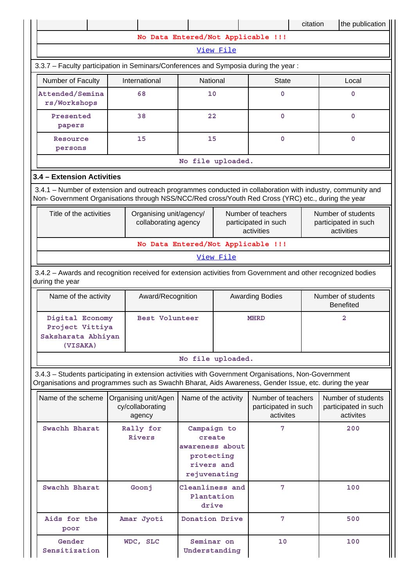|                                                                                                                                                                                                                    |                                                    |                                                                                      |              |                                                          | citation | the publication                                          |
|--------------------------------------------------------------------------------------------------------------------------------------------------------------------------------------------------------------------|----------------------------------------------------|--------------------------------------------------------------------------------------|--------------|----------------------------------------------------------|----------|----------------------------------------------------------|
|                                                                                                                                                                                                                    | No Data Entered/Not Applicable !!!                 |                                                                                      |              |                                                          |          |                                                          |
|                                                                                                                                                                                                                    |                                                    |                                                                                      | View File    |                                                          |          |                                                          |
| 3.3.7 - Faculty participation in Seminars/Conferences and Symposia during the year:                                                                                                                                |                                                    |                                                                                      |              |                                                          |          |                                                          |
| Number of Faculty                                                                                                                                                                                                  | International<br>National                          |                                                                                      | <b>State</b> |                                                          | Local    |                                                          |
| Attended/Semina<br>rs/Workshops                                                                                                                                                                                    | 68                                                 | 10                                                                                   |              | $\mathbf 0$                                              |          | $\mathbf 0$                                              |
| Presented<br>papers                                                                                                                                                                                                | 38                                                 | 22                                                                                   |              | $\mathbf 0$                                              |          | $\mathbf 0$                                              |
| Resource<br>persons                                                                                                                                                                                                | 15                                                 | 15                                                                                   |              | $\mathbf 0$                                              |          | $\mathbf 0$                                              |
|                                                                                                                                                                                                                    |                                                    | No file uploaded.                                                                    |              |                                                          |          |                                                          |
| 3.4 - Extension Activities                                                                                                                                                                                         |                                                    |                                                                                      |              |                                                          |          |                                                          |
| 3.4.1 - Number of extension and outreach programmes conducted in collaboration with industry, community and<br>Non- Government Organisations through NSS/NCC/Red cross/Youth Red Cross (YRC) etc., during the year |                                                    |                                                                                      |              |                                                          |          |                                                          |
| Title of the activities<br>Organising unit/agency/<br>collaborating agency                                                                                                                                         |                                                    |                                                                                      |              | Number of teachers<br>participated in such<br>activities |          | Number of students<br>participated in such<br>activities |
|                                                                                                                                                                                                                    | No Data Entered/Not Applicable !!!                 |                                                                                      |              |                                                          |          |                                                          |
|                                                                                                                                                                                                                    |                                                    |                                                                                      | View File    |                                                          |          |                                                          |
| 3.4.2 - Awards and recognition received for extension activities from Government and other recognized bodies<br>during the year                                                                                    |                                                    |                                                                                      |              |                                                          |          |                                                          |
| Name of the activity                                                                                                                                                                                               | Award/Recognition                                  |                                                                                      |              | <b>Awarding Bodies</b>                                   |          | Number of students<br><b>Benefited</b>                   |
| Digital Economy<br>Project Vittiya<br>Saksharata Abhiyan<br>(VISAKA)                                                                                                                                               | Best Volunteer                                     |                                                                                      | <b>MHRD</b>  |                                                          | 2        |                                                          |
|                                                                                                                                                                                                                    |                                                    | No file uploaded.                                                                    |              |                                                          |          |                                                          |
| 3.4.3 - Students participating in extension activities with Government Organisations, Non-Government<br>Organisations and programmes such as Swachh Bharat, Aids Awareness, Gender Issue, etc. during the year     |                                                    |                                                                                      |              |                                                          |          |                                                          |
| Name of the scheme                                                                                                                                                                                                 | Organising unit/Agen<br>cy/collaborating<br>agency | Name of the activity                                                                 |              | Number of teachers<br>participated in such<br>activites  |          | Number of students<br>participated in such<br>activites  |
| Swachh Bharat                                                                                                                                                                                                      | Rally for<br>Rivers                                | Campaign to<br>create<br>awareness about<br>protecting<br>rivers and<br>rejuvenating |              | 7                                                        |          | 200                                                      |
| Swachh Bharat                                                                                                                                                                                                      | Goonj                                              | Cleanliness and<br>Plantation<br>drive                                               |              | 7                                                        |          | 100                                                      |
| Aids for the<br>poor                                                                                                                                                                                               | Amar Jyoti                                         | Donation Drive                                                                       |              | 7                                                        |          | 500                                                      |
| Gender<br>Sensitization                                                                                                                                                                                            | WDC, SLC                                           | Seminar on<br>Understanding                                                          |              | 10                                                       |          | 100                                                      |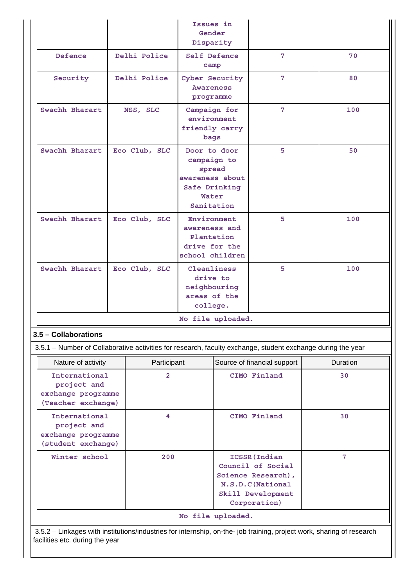|                                                                                                             |                | Issues in<br>Gender<br>Disparity                                    |                                                                                                                    |                             |                |  |
|-------------------------------------------------------------------------------------------------------------|----------------|---------------------------------------------------------------------|--------------------------------------------------------------------------------------------------------------------|-----------------------------|----------------|--|
| Defence                                                                                                     | Delhi Police   | Self Defence<br>camp                                                |                                                                                                                    | 7                           | 70             |  |
| Security                                                                                                    | Delhi Police   | Cyber Security<br><b>Awareness</b><br>programme                     |                                                                                                                    | 7                           | 80             |  |
| Swachh Bharart                                                                                              | NSS, SLC       | Campaign for<br>environment<br>friendly carry<br>bags               |                                                                                                                    | 7                           | 100            |  |
| Swachh Bharart                                                                                              | Eco Club, SLC  |                                                                     | 5<br>Door to door<br>campaign to<br>spread<br>awareness about<br>Safe Drinking<br>Water<br>Sanitation              |                             | 50             |  |
| Swachh Bharart                                                                                              | Eco Club, SLC  | Environment<br>drive for the                                        | 5<br>awareness and<br>Plantation<br>school children                                                                |                             | 100            |  |
| Swachh Bharart                                                                                              | Eco Club, SLC  | Cleanliness<br>drive to<br>neighbouring<br>areas of the<br>college. | 5                                                                                                                  |                             | 100            |  |
|                                                                                                             |                | No file uploaded.                                                   |                                                                                                                    |                             |                |  |
| 3.5 - Collaborations                                                                                        |                |                                                                     |                                                                                                                    |                             |                |  |
| 3.5.1 - Number of Collaborative activities for research, faculty exchange, student exchange during the year |                |                                                                     |                                                                                                                    |                             |                |  |
| Nature of activity                                                                                          | Participant    |                                                                     |                                                                                                                    | Source of financial support | Duration       |  |
| International<br>project and<br>exchange programme<br>(Teacher exchange)                                    | $\overline{2}$ |                                                                     |                                                                                                                    | CIMO Finland                | 30             |  |
| International<br>project and<br>exchange programme<br>(student exchange)                                    | 4              |                                                                     |                                                                                                                    | CIMO Finland                | 30             |  |
| Winter school<br>200                                                                                        |                |                                                                     | ICSSR (Indian<br>Council of Social<br>Science Research),<br>N.S.D.C (National<br>Skill Development<br>Corporation) |                             | $7\phantom{.}$ |  |
|                                                                                                             |                | No file uploaded.                                                   |                                                                                                                    |                             |                |  |

 3.5.2 – Linkages with institutions/industries for internship, on-the- job training, project work, sharing of research facilities etc. during the year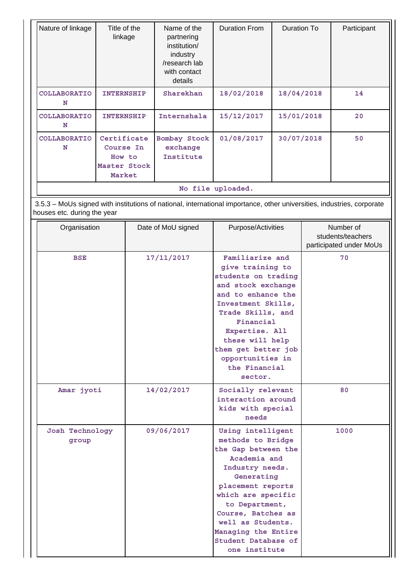| Nature of linkage           | Title of the<br>linkage                                                                                                                                                                                                                                                                             |  | Name of the<br>partnering<br>institution/<br>industry<br>/research lab<br>with contact<br>details                      | <b>Duration From</b>                                                  | <b>Duration To</b>                                                                                                                                                                                                                                              |                                                           | Participant |
|-----------------------------|-----------------------------------------------------------------------------------------------------------------------------------------------------------------------------------------------------------------------------------------------------------------------------------------------------|--|------------------------------------------------------------------------------------------------------------------------|-----------------------------------------------------------------------|-----------------------------------------------------------------------------------------------------------------------------------------------------------------------------------------------------------------------------------------------------------------|-----------------------------------------------------------|-------------|
| COLLABORATIO<br>N           | <b>INTERNSHIP</b>                                                                                                                                                                                                                                                                                   |  | Sharekhan                                                                                                              | 18/02/2018                                                            | 18/04/2018                                                                                                                                                                                                                                                      |                                                           | 14          |
| COLLABORATIO<br>N           | <b>INTERNSHIP</b>                                                                                                                                                                                                                                                                                   |  | Internshala                                                                                                            | 15/12/2017                                                            | 15/01/2018                                                                                                                                                                                                                                                      |                                                           | 20          |
| COLLABORATIO<br>N           | Certificate<br>Course In<br>How to<br>Master Stock<br>Market                                                                                                                                                                                                                                        |  | Bombay Stock<br>exchange<br>Institute                                                                                  | 01/08/2017                                                            | 30/07/2018                                                                                                                                                                                                                                                      |                                                           | 50          |
|                             |                                                                                                                                                                                                                                                                                                     |  | 3.5.3 - MoUs signed with institutions of national, international importance, other universities, industries, corporate | No file uploaded.                                                     |                                                                                                                                                                                                                                                                 |                                                           |             |
| houses etc. during the year |                                                                                                                                                                                                                                                                                                     |  |                                                                                                                        |                                                                       |                                                                                                                                                                                                                                                                 |                                                           |             |
| Organisation                |                                                                                                                                                                                                                                                                                                     |  | Date of MoU signed                                                                                                     | Purpose/Activities                                                    |                                                                                                                                                                                                                                                                 | Number of<br>students/teachers<br>participated under MoUs |             |
| <b>BSE</b>                  |                                                                                                                                                                                                                                                                                                     |  | 17/11/2017                                                                                                             | sector.                                                               | Familiarize and<br>give training to<br>students on trading<br>and stock exchange<br>and to enhance the<br>Investment Skills,<br>Trade Skills, and<br>Financial<br>Expertise. All<br>these will help<br>them get better job<br>opportunities in<br>the Financial |                                                           | 70          |
| Amar jyoti                  |                                                                                                                                                                                                                                                                                                     |  | 14/02/2017                                                                                                             | Socially relevant<br>interaction around<br>kids with special<br>needs |                                                                                                                                                                                                                                                                 | 80                                                        |             |
| group                       | 09/06/2017<br>Using intelligent<br>methods to Bridge<br>the Gap between the<br>Academia and<br>Industry needs.<br>Generating<br>placement reports<br>which are specific<br>to Department,<br>Course, Batches as<br>well as Students.<br>Managing the Entire<br>Student Database of<br>one institute |  | Josh Technology                                                                                                        |                                                                       |                                                                                                                                                                                                                                                                 | 1000                                                      |             |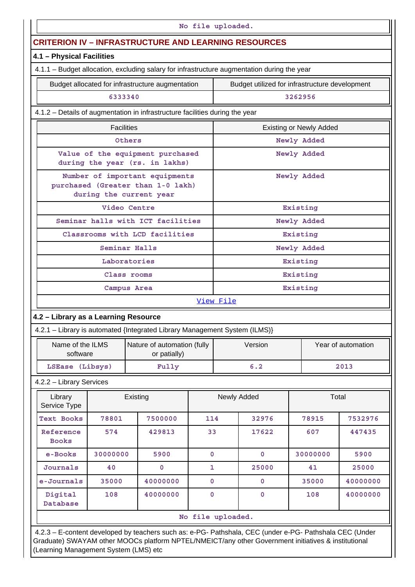|                                                                                                | No file uploaded. |                                                                                                         |                   |           |             |                                                |          |  |  |
|------------------------------------------------------------------------------------------------|-------------------|---------------------------------------------------------------------------------------------------------|-------------------|-----------|-------------|------------------------------------------------|----------|--|--|
| <b>CRITERION IV - INFRASTRUCTURE AND LEARNING RESOURCES</b>                                    |                   |                                                                                                         |                   |           |             |                                                |          |  |  |
| 4.1 - Physical Facilities                                                                      |                   |                                                                                                         |                   |           |             |                                                |          |  |  |
| 4.1.1 - Budget allocation, excluding salary for infrastructure augmentation during the year    |                   |                                                                                                         |                   |           |             |                                                |          |  |  |
|                                                                                                |                   | Budget allocated for infrastructure augmentation                                                        |                   |           |             | Budget utilized for infrastructure development |          |  |  |
|                                                                                                | 6333340           |                                                                                                         |                   |           |             | 3262956                                        |          |  |  |
| 4.1.2 - Details of augmentation in infrastructure facilities during the year                   |                   |                                                                                                         |                   |           |             |                                                |          |  |  |
|                                                                                                | <b>Facilities</b> |                                                                                                         |                   |           |             | <b>Existing or Newly Added</b>                 |          |  |  |
|                                                                                                |                   | Others                                                                                                  |                   |           |             | Newly Added                                    |          |  |  |
|                                                                                                |                   | Value of the equipment purchased<br>during the year (rs. in lakhs)                                      |                   |           |             | Newly Added                                    |          |  |  |
| Number of important equipments<br>purchased (Greater than 1-0 lakh)<br>during the current year |                   |                                                                                                         |                   |           |             | Newly Added                                    |          |  |  |
|                                                                                                |                   | Video Centre                                                                                            |                   |           | Existing    |                                                |          |  |  |
|                                                                                                |                   | Seminar halls with ICT facilities                                                                       |                   |           | Newly Added |                                                |          |  |  |
| Classrooms with LCD facilities                                                                 |                   |                                                                                                         |                   |           |             | Existing                                       |          |  |  |
| Seminar Halls                                                                                  |                   |                                                                                                         |                   |           | Newly Added |                                                |          |  |  |
| Laboratories                                                                                   |                   |                                                                                                         |                   |           |             | Existing                                       |          |  |  |
|                                                                                                | Class rooms       |                                                                                                         |                   |           |             | Existing                                       |          |  |  |
|                                                                                                |                   | Campus Area                                                                                             |                   | Existing  |             |                                                |          |  |  |
|                                                                                                |                   |                                                                                                         |                   | View File |             |                                                |          |  |  |
| 4.2 - Library as a Learning Resource                                                           |                   |                                                                                                         |                   |           |             |                                                |          |  |  |
|                                                                                                |                   | 4.2.1 - Library is automated {Integrated Library Management System (ILMS)}                              |                   |           |             |                                                |          |  |  |
| Name of the ILMS<br>software                                                                   |                   | Nature of automation (fully<br>or patially)                                                             |                   |           | Version     | Year of automation                             |          |  |  |
| LSEase (Libsys)                                                                                |                   | Fully                                                                                                   |                   |           | 6.2         |                                                | 2013     |  |  |
| 4.2.2 - Library Services                                                                       |                   |                                                                                                         |                   |           |             |                                                |          |  |  |
| Library<br>Service Type                                                                        |                   | Existing                                                                                                |                   |           | Newly Added |                                                | Total    |  |  |
| Text Books                                                                                     | 78801             | 7500000                                                                                                 | 114               |           | 32976       | 78915                                          | 7532976  |  |  |
| Reference<br><b>Books</b>                                                                      | 574               | 429813                                                                                                  | 33                |           | 17622       | 607                                            | 447435   |  |  |
| e-Books                                                                                        | 30000000          | 5900                                                                                                    | $\mathbf 0$       |           | $\mathbf 0$ | 30000000                                       | 5900     |  |  |
| Journals                                                                                       | 40                | $\mathbf 0$                                                                                             | 1                 |           | 25000       | 41                                             | 25000    |  |  |
| e-Journals                                                                                     | 35000             | 40000000                                                                                                | $\mathbf 0$       |           | 0           | 35000                                          | 40000000 |  |  |
| Digital<br>Database                                                                            | 108               | 40000000                                                                                                | $\mathbf 0$       |           | $\mathbf 0$ | 108                                            | 40000000 |  |  |
|                                                                                                |                   |                                                                                                         | No file uploaded. |           |             |                                                |          |  |  |
|                                                                                                |                   | 4.2.3 - E-content developed by teachers such as: e-PG- Pathshala, CEC (under e-PG- Pathshala CEC (Under |                   |           |             |                                                |          |  |  |

Graduate) SWAYAM other MOOCs platform NPTEL/NMEICT/any other Government initiatives & institutional (Learning Management System (LMS) etc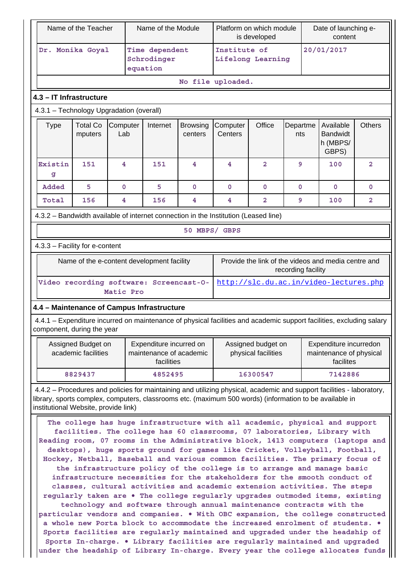| Name of the Teacher                                                                                                                                |                                                                                                                                                                                                                                                                                                                                                                                                                                                                                                                                                                                                                                                                                                                                                                                                                                                                                                                                                                                                                                                                                                                                                                                                                                                                                                                                                                                      |                 | Name of the Module                                               |                            | Platform on which module<br>is developed  |                |                 | Date of launching e-<br>content                                |                         |
|----------------------------------------------------------------------------------------------------------------------------------------------------|--------------------------------------------------------------------------------------------------------------------------------------------------------------------------------------------------------------------------------------------------------------------------------------------------------------------------------------------------------------------------------------------------------------------------------------------------------------------------------------------------------------------------------------------------------------------------------------------------------------------------------------------------------------------------------------------------------------------------------------------------------------------------------------------------------------------------------------------------------------------------------------------------------------------------------------------------------------------------------------------------------------------------------------------------------------------------------------------------------------------------------------------------------------------------------------------------------------------------------------------------------------------------------------------------------------------------------------------------------------------------------------|-----------------|------------------------------------------------------------------|----------------------------|-------------------------------------------|----------------|-----------------|----------------------------------------------------------------|-------------------------|
|                                                                                                                                                    | Dr. Monika Goyal                                                                                                                                                                                                                                                                                                                                                                                                                                                                                                                                                                                                                                                                                                                                                                                                                                                                                                                                                                                                                                                                                                                                                                                                                                                                                                                                                                     |                 | Time dependent<br>Schrodinger<br>equation                        |                            | Institute of<br>Lifelong Learning         |                |                 | 20/01/2017                                                     |                         |
|                                                                                                                                                    |                                                                                                                                                                                                                                                                                                                                                                                                                                                                                                                                                                                                                                                                                                                                                                                                                                                                                                                                                                                                                                                                                                                                                                                                                                                                                                                                                                                      |                 |                                                                  |                            | No file uploaded.                         |                |                 |                                                                |                         |
| 4.3 - IT Infrastructure                                                                                                                            |                                                                                                                                                                                                                                                                                                                                                                                                                                                                                                                                                                                                                                                                                                                                                                                                                                                                                                                                                                                                                                                                                                                                                                                                                                                                                                                                                                                      |                 |                                                                  |                            |                                           |                |                 |                                                                |                         |
| 4.3.1 - Technology Upgradation (overall)                                                                                                           |                                                                                                                                                                                                                                                                                                                                                                                                                                                                                                                                                                                                                                                                                                                                                                                                                                                                                                                                                                                                                                                                                                                                                                                                                                                                                                                                                                                      |                 |                                                                  |                            |                                           |                |                 |                                                                |                         |
| <b>Type</b>                                                                                                                                        | <b>Total Co</b><br>mputers                                                                                                                                                                                                                                                                                                                                                                                                                                                                                                                                                                                                                                                                                                                                                                                                                                                                                                                                                                                                                                                                                                                                                                                                                                                                                                                                                           | Computer<br>Lab | Internet                                                         | <b>Browsing</b><br>centers | Computer<br>Centers                       | Office         | Departme<br>nts | Available<br><b>Bandwidt</b><br>h (MBPS/<br>GBPS)              | <b>Others</b>           |
| Existin<br>g                                                                                                                                       | 151                                                                                                                                                                                                                                                                                                                                                                                                                                                                                                                                                                                                                                                                                                                                                                                                                                                                                                                                                                                                                                                                                                                                                                                                                                                                                                                                                                                  | 4               | 151                                                              | $\overline{\mathbf{4}}$    | $\overline{\mathbf{4}}$                   | $\overline{2}$ | 9               | 100                                                            | $\overline{\mathbf{2}}$ |
| Added                                                                                                                                              | 5                                                                                                                                                                                                                                                                                                                                                                                                                                                                                                                                                                                                                                                                                                                                                                                                                                                                                                                                                                                                                                                                                                                                                                                                                                                                                                                                                                                    | $\mathbf 0$     | 5                                                                | $\mathbf{0}$               | $\mathbf 0$                               | $\mathbf 0$    | $\mathbf 0$     | $\mathbf 0$                                                    | $\mathbf 0$             |
| Total                                                                                                                                              | 156                                                                                                                                                                                                                                                                                                                                                                                                                                                                                                                                                                                                                                                                                                                                                                                                                                                                                                                                                                                                                                                                                                                                                                                                                                                                                                                                                                                  | 4               | 156                                                              | 4                          | 4                                         | $\overline{a}$ | 9               | 100                                                            | 2                       |
| 4.3.2 - Bandwidth available of internet connection in the Institution (Leased line)                                                                |                                                                                                                                                                                                                                                                                                                                                                                                                                                                                                                                                                                                                                                                                                                                                                                                                                                                                                                                                                                                                                                                                                                                                                                                                                                                                                                                                                                      |                 |                                                                  |                            |                                           |                |                 |                                                                |                         |
|                                                                                                                                                    |                                                                                                                                                                                                                                                                                                                                                                                                                                                                                                                                                                                                                                                                                                                                                                                                                                                                                                                                                                                                                                                                                                                                                                                                                                                                                                                                                                                      |                 |                                                                  | 50 MBPS/ GBPS              |                                           |                |                 |                                                                |                         |
| 4.3.3 - Facility for e-content                                                                                                                     |                                                                                                                                                                                                                                                                                                                                                                                                                                                                                                                                                                                                                                                                                                                                                                                                                                                                                                                                                                                                                                                                                                                                                                                                                                                                                                                                                                                      |                 |                                                                  |                            |                                           |                |                 |                                                                |                         |
|                                                                                                                                                    | Provide the link of the videos and media centre and<br>Name of the e-content development facility<br>recording facility                                                                                                                                                                                                                                                                                                                                                                                                                                                                                                                                                                                                                                                                                                                                                                                                                                                                                                                                                                                                                                                                                                                                                                                                                                                              |                 |                                                                  |                            |                                           |                |                 |                                                                |                         |
|                                                                                                                                                    |                                                                                                                                                                                                                                                                                                                                                                                                                                                                                                                                                                                                                                                                                                                                                                                                                                                                                                                                                                                                                                                                                                                                                                                                                                                                                                                                                                                      | Matic Pro       | Video recording software: Screencast-O-                          |                            |                                           |                |                 | http://slc.du.ac.in/video-lectures.php                         |                         |
| 4.4 - Maintenance of Campus Infrastructure                                                                                                         |                                                                                                                                                                                                                                                                                                                                                                                                                                                                                                                                                                                                                                                                                                                                                                                                                                                                                                                                                                                                                                                                                                                                                                                                                                                                                                                                                                                      |                 |                                                                  |                            |                                           |                |                 |                                                                |                         |
| 4.4.1 – Expenditure incurred on maintenance of physical facilities and academic support facilities, excluding salary<br>component, during the year |                                                                                                                                                                                                                                                                                                                                                                                                                                                                                                                                                                                                                                                                                                                                                                                                                                                                                                                                                                                                                                                                                                                                                                                                                                                                                                                                                                                      |                 |                                                                  |                            |                                           |                |                 |                                                                |                         |
|                                                                                                                                                    | Assigned Budget on<br>academic facilities                                                                                                                                                                                                                                                                                                                                                                                                                                                                                                                                                                                                                                                                                                                                                                                                                                                                                                                                                                                                                                                                                                                                                                                                                                                                                                                                            |                 | Expenditure incurred on<br>maintenance of academic<br>facilities |                            | Assigned budget on<br>physical facilities |                |                 | Expenditure incurredon<br>maintenance of physical<br>facilites |                         |
|                                                                                                                                                    | 8829437                                                                                                                                                                                                                                                                                                                                                                                                                                                                                                                                                                                                                                                                                                                                                                                                                                                                                                                                                                                                                                                                                                                                                                                                                                                                                                                                                                              |                 | 4852495                                                          |                            |                                           | 16300547       |                 | 7142886                                                        |                         |
| 4.4.2 - Procedures and policies for maintaining and utilizing physical, academic and support facilities - laboratory,                              |                                                                                                                                                                                                                                                                                                                                                                                                                                                                                                                                                                                                                                                                                                                                                                                                                                                                                                                                                                                                                                                                                                                                                                                                                                                                                                                                                                                      |                 |                                                                  |                            |                                           |                |                 |                                                                |                         |
|                                                                                                                                                    | library, sports complex, computers, classrooms etc. (maximum 500 words) (information to be available in<br>institutional Website, provide link)<br>The college has huge infrastructure with all academic, physical and support<br>facilities. The college has 60 classrooms, 07 laboratories, Library with<br>Reading room, 07 rooms in the Administrative block, 1413 computers (laptops and<br>desktops), huge sports ground for games like Cricket, Volleyball, Football,<br>Hockey, Netball, Baseball and various common facilities. The primary focus of<br>the infrastructure policy of the college is to arrange and manage basic<br>infrastructure necessities for the stakeholders for the smooth conduct of<br>classes, cultural activities and academic extension activities. The steps<br>regularly taken are . The college regularly upgrades outmoded items, existing<br>technology and software through annual maintenance contracts with the<br>particular vendors and companies. . With OBC expansion, the college constructed<br>a whole new Porta block to accommodate the increased enrolment of students. .<br>Sports facilities are regularly maintained and upgraded under the headship of<br>Sports In-charge. . Library facilities are regularly maintained and upgraded<br>under the headship of Library In-charge. Every year the college allocates funds |                 |                                                                  |                            |                                           |                |                 |                                                                |                         |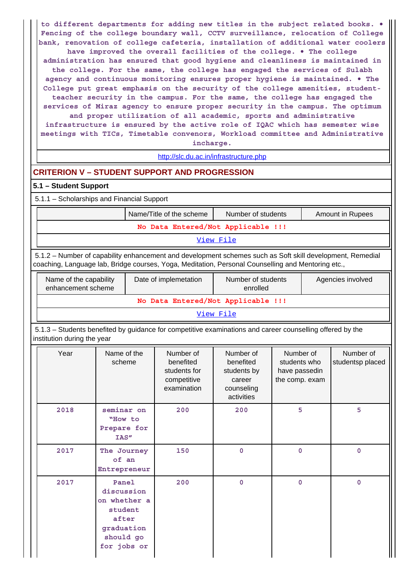**to different departments for adding new titles in the subject related books. • Fencing of the college boundary wall, CCTV surveillance, relocation of College bank, renovation of college cafeteria, installation of additional water coolers have improved the overall facilities of the college. • The college administration has ensured that good hygiene and cleanliness is maintained in the college. For the same, the college has engaged the services of Sulabh agency and continuous monitoring ensures proper hygiene is maintained. • The College put great emphasis on the security of the college amenities, studentteacher security in the campus. For the same, the college has engaged the services of Miraz agency to ensure proper security in the campus. The optimum and proper utilization of all academic, sports and administrative infrastructure is ensured by the active role of IQAC which has semester wise meetings with TICs, Timetable convenors, Workload committee and Administrative incharge.**

### <http://slc.du.ac.in/infrastructure.php>

### **CRITERION V – STUDENT SUPPORT AND PROGRESSION**

### **5.1 – Student Support**

5.1.1 – Scholarships and Financial Support

|                                    | Name/Title of the scheme | Number of students | Amount in Rupees |  |  |  |
|------------------------------------|--------------------------|--------------------|------------------|--|--|--|
| No Data Entered/Not Applicable !!! |                          |                    |                  |  |  |  |
|                                    |                          | View File          |                  |  |  |  |

 5.1.2 – Number of capability enhancement and development schemes such as Soft skill development, Remedial coaching, Language lab, Bridge courses, Yoga, Meditation, Personal Counselling and Mentoring etc.,

| Name of the capability<br>enhancement scheme | Date of implemetation | Number of students<br>enrolled | Agencies involved |
|----------------------------------------------|-----------------------|--------------------------------|-------------------|
|                                              |                       |                                |                   |

[View File](https://assessmentonline.naac.gov.in/public/Postacc/Development_Schemes/216_Development_Schemes_1583144328.xlsx)

 5.1.3 – Students benefited by guidance for competitive examinations and career counselling offered by the institution during the year

| Year | Name of the<br>scheme                                                                             | Number of<br>benefited<br>students for<br>competitive<br>examination | Number of<br>benefited<br>students by<br>career<br>counseling<br>activities | Number of<br>students who<br>have passedin<br>the comp. exam | Number of<br>studentsp placed |
|------|---------------------------------------------------------------------------------------------------|----------------------------------------------------------------------|-----------------------------------------------------------------------------|--------------------------------------------------------------|-------------------------------|
| 2018 | seminar on<br>"How to<br>Prepare for<br>IAS"                                                      | 200                                                                  | 200                                                                         | 5                                                            | 5                             |
| 2017 | The Journey<br>of an<br>Entrepreneur                                                              | 150                                                                  | $\mathbf 0$                                                                 | $\mathbf{0}$                                                 | $\mathbf 0$                   |
| 2017 | Panel<br>discussion<br>on whether a<br>student<br>after<br>graduation<br>should go<br>for jobs or | 200                                                                  | $\Omega$                                                                    | $\mathbf{0}$                                                 | $\mathbf 0$                   |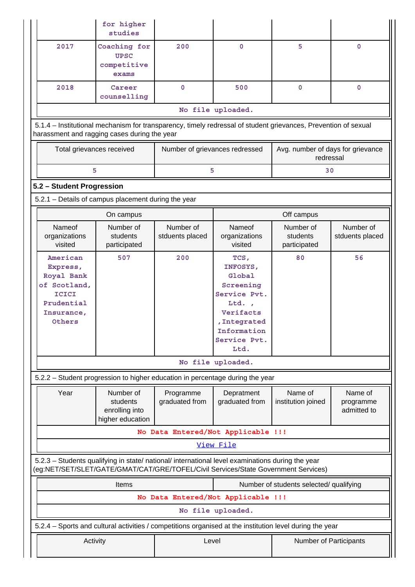|                                                                                                                                                                                        | for higher<br>studies                                                                                                                                          |                                |                                                                                                                                      |                                                |                                     |  |  |  |  |
|----------------------------------------------------------------------------------------------------------------------------------------------------------------------------------------|----------------------------------------------------------------------------------------------------------------------------------------------------------------|--------------------------------|--------------------------------------------------------------------------------------------------------------------------------------|------------------------------------------------|-------------------------------------|--|--|--|--|
| 2017                                                                                                                                                                                   | Coaching for<br><b>UPSC</b><br>competitive<br>exams                                                                                                            | 200                            | 0                                                                                                                                    | 5                                              | 0                                   |  |  |  |  |
| 2018                                                                                                                                                                                   | Career<br>counselling                                                                                                                                          | 0                              | 500                                                                                                                                  | $\mathbf{0}$                                   | $\mathbf 0$                         |  |  |  |  |
|                                                                                                                                                                                        |                                                                                                                                                                |                                | No file uploaded.                                                                                                                    |                                                |                                     |  |  |  |  |
|                                                                                                                                                                                        | 5.1.4 – Institutional mechanism for transparency, timely redressal of student grievances, Prevention of sexual<br>harassment and ragging cases during the year |                                |                                                                                                                                      |                                                |                                     |  |  |  |  |
|                                                                                                                                                                                        | Total grievances received                                                                                                                                      | Number of grievances redressed |                                                                                                                                      | Avg. number of days for grievance<br>redressal |                                     |  |  |  |  |
|                                                                                                                                                                                        | 5                                                                                                                                                              | 5                              |                                                                                                                                      | 30                                             |                                     |  |  |  |  |
| 5.2 - Student Progression                                                                                                                                                              |                                                                                                                                                                |                                |                                                                                                                                      |                                                |                                     |  |  |  |  |
| 5.2.1 - Details of campus placement during the year                                                                                                                                    |                                                                                                                                                                |                                |                                                                                                                                      |                                                |                                     |  |  |  |  |
|                                                                                                                                                                                        | On campus                                                                                                                                                      |                                |                                                                                                                                      | Off campus                                     |                                     |  |  |  |  |
| Nameof<br>organizations<br>visited                                                                                                                                                     | Number of<br>students<br>participated                                                                                                                          | Number of<br>stduents placed   | Nameof<br>organizations<br>visited                                                                                                   | Number of<br>students<br>participated          | Number of<br>stduents placed        |  |  |  |  |
| American<br>Express,<br>Royal Bank<br>of Scotland,<br><b>ICICI</b><br>Prudential<br>Insurance,<br>Others                                                                               | 507                                                                                                                                                            | 200                            | TCS,<br>INFOSYS,<br>Global<br>Screening<br>Service Pvt.<br>Ltd.,<br>Verifacts<br>, Integrated<br>Information<br>Service Pvt.<br>Ltd. | 80                                             | 56                                  |  |  |  |  |
|                                                                                                                                                                                        |                                                                                                                                                                |                                | No file uploaded.                                                                                                                    |                                                |                                     |  |  |  |  |
| 5.2.2 - Student progression to higher education in percentage during the year                                                                                                          |                                                                                                                                                                |                                |                                                                                                                                      |                                                |                                     |  |  |  |  |
| Year                                                                                                                                                                                   | Number of<br>students<br>enrolling into<br>higher education                                                                                                    | Programme<br>graduated from    | Depratment<br>graduated from                                                                                                         | Name of<br>institution joined                  | Name of<br>programme<br>admitted to |  |  |  |  |
|                                                                                                                                                                                        |                                                                                                                                                                |                                | No Data Entered/Not Applicable !!!                                                                                                   |                                                |                                     |  |  |  |  |
|                                                                                                                                                                                        |                                                                                                                                                                |                                | View File                                                                                                                            |                                                |                                     |  |  |  |  |
| 5.2.3 - Students qualifying in state/ national/ international level examinations during the year<br>(eg:NET/SET/SLET/GATE/GMAT/CAT/GRE/TOFEL/Civil Services/State Government Services) |                                                                                                                                                                |                                |                                                                                                                                      |                                                |                                     |  |  |  |  |
|                                                                                                                                                                                        | Items<br>Number of students selected/ qualifying                                                                                                               |                                |                                                                                                                                      |                                                |                                     |  |  |  |  |
|                                                                                                                                                                                        |                                                                                                                                                                |                                | No Data Entered/Not Applicable !!!                                                                                                   |                                                |                                     |  |  |  |  |
|                                                                                                                                                                                        |                                                                                                                                                                |                                | No file uploaded.                                                                                                                    |                                                |                                     |  |  |  |  |
| 5.2.4 – Sports and cultural activities / competitions organised at the institution level during the year                                                                               |                                                                                                                                                                |                                |                                                                                                                                      |                                                |                                     |  |  |  |  |
|                                                                                                                                                                                        | Activity                                                                                                                                                       | Level                          |                                                                                                                                      | Number of Participants                         |                                     |  |  |  |  |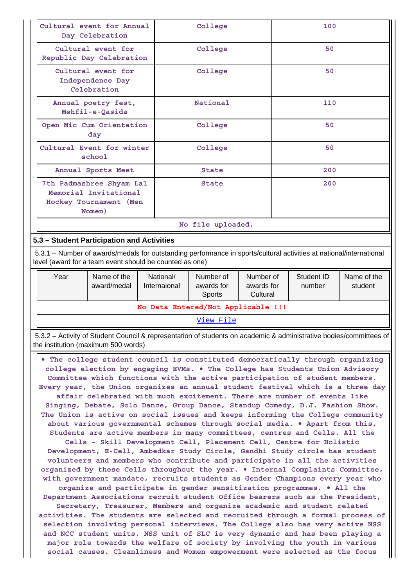| Cultural event for Annual<br>Day Celebration                                          | College           | 100 |  |  |  |  |
|---------------------------------------------------------------------------------------|-------------------|-----|--|--|--|--|
| Cultural event for<br>Republic Day Celebration                                        | College           | 50  |  |  |  |  |
| Cultural event for<br>Independence Day<br>Celebration                                 | College           | 50  |  |  |  |  |
| Annual poetry fest,<br>Mehfil-e-Qasida                                                | National          | 110 |  |  |  |  |
| Open Mic Cum Orientation<br>day                                                       | College           | 50  |  |  |  |  |
| Cultural Event for winter<br>school                                                   | College           | 50  |  |  |  |  |
| Annual Sports Meet                                                                    | State             | 200 |  |  |  |  |
| 7th Padmashree Shyam Lal<br>Memorial Invitational<br>Hockey Tournament (Men<br>Women) | <b>State</b>      | 200 |  |  |  |  |
|                                                                                       | No file uploaded. |     |  |  |  |  |
| 5.3 - Student Participation and Activities                                            |                   |     |  |  |  |  |

 5.3.1 – Number of awards/medals for outstanding performance in sports/cultural activities at national/international level (award for a team event should be counted as one)

| Year                               | Name of the<br>award/medal | National/<br>Internaional | Number of<br>awards for<br><b>Sports</b> | Number of<br>awards for<br>Cultural | Student ID<br>number | Name of the<br>student |  |  |
|------------------------------------|----------------------------|---------------------------|------------------------------------------|-------------------------------------|----------------------|------------------------|--|--|
| No Data Entered/Not Applicable !!! |                            |                           |                                          |                                     |                      |                        |  |  |
|                                    |                            |                           | ---                                      |                                     |                      |                        |  |  |

[View File](https://assessmentonline.naac.gov.in/public/Postacc/awards_in_activities/216_awards_in_activities_1583228653.xlsx)

 5.3.2 – Activity of Student Council & representation of students on academic & administrative bodies/committees of the institution (maximum 500 words)

 **• The college student council is constituted democratically through organizing college election by engaging EVMs. • The College has Students Union Advisory Committee which functions with the active participation of student members. Every year, the Union organizes an annual student festival which is a three day affair celebrated with much excitement. There are number of events like Singing, Debate, Solo Dance, Group Dance, Standup Comedy, D.J. Fashion Show. The Union is active on social issues and keeps informing the College community about various governmental schemes through social media. • Apart from this, Students are active members in many committees, centres and Cells. All the Cells – Skill Development Cell, Placement Cell, Centre for Holistic Development, E-Cell, Ambedkar Study Circle, Gandhi Study circle has student volunteers and members who contribute and participate in all the activities organized by these Cells throughout the year. • Internal Complaints Committee, with government mandate, recruits students as Gender Champions every year who organize and participate in gender sensitization programmes. • All the Department Associations recruit student Office bearers such as the President, Secretary, Treasurer, Members and organize academic and student related activities. The students are selected and recruited through a formal process of selection involving personal interviews. The College also has very active NSS and NCC student units. NSS unit of SLC is very dynamic and has been playing a major role towards the welfare of society by involving the youth in various social causes. Cleanliness and Women empowerment were selected as the focus**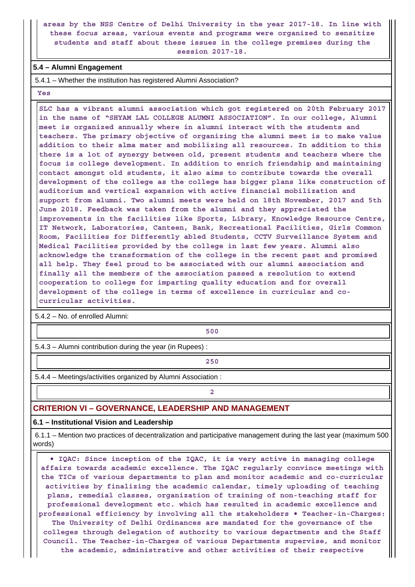### **areas by the NSS Centre of Delhi University in the year 2017-18. In line with these focus areas, various events and programs were organized to sensitize students and staff about these issues in the college premises during the session 2017-18.**

### **5.4 – Alumni Engagement**

5.4.1 – Whether the institution has registered Alumni Association?

 **Yes**

 **SLC has a vibrant alumni association which got registered on 20th February 2017 in the name of "SHYAM LAL COLLEGE ALUMNI ASSOCIATION". In our college, Alumni meet is organized annually where in alumni interact with the students and teachers. The primary objective of organizing the alumni meet is to make value addition to their alma mater and mobilizing all resources. In addition to this there is a lot of synergy between old, present students and teachers where the focus is college development. In addition to enrich friendship and maintaining contact amongst old students, it also aims to contribute towards the overall development of the college as the college has bigger plans like construction of auditorium and vertical expansion with active financial mobilization and support from alumni. Two alumni meets were held on 18th November, 2017 and 5th June 2018. Feedback was taken from the alumni and they appreciated the improvements in the facilities like Sports, Library, Knowledge Resource Centre, IT Network, Laboratories, Canteen, Bank, Recreational Facilities, Girls Common Room, Facilities for Differently abled Students, CCTV Surveillance System and Medical Facilities provided by the college in last few years. Alumni also acknowledge the transformation of the college in the recent past and promised all help. They feel proud to be associated with our alumni association and finally all the members of the association passed a resolution to extend cooperation to college for imparting quality education and for overall development of the college in terms of excellence in curricular and cocurricular activities.**

5.4.2 – No. of enrolled Alumni:

**1 500** 

5.4.3 – Alumni contribution during the year (in Rupees) :

**250**

5.4.4 – Meetings/activities organized by Alumni Association :

**2**

### **CRITERION VI – GOVERNANCE, LEADERSHIP AND MANAGEMENT**

### **6.1 – Institutional Vision and Leadership**

 6.1.1 – Mention two practices of decentralization and participative management during the last year (maximum 500 words)

 **• IQAC: Since inception of the IQAC, it is very active in managing college affairs towards academic excellence. The IQAC regularly convince meetings with the TICs of various departments to plan and monitor academic and co-curricular activities by finalizing the academic calendar, timely uploading of teaching plans, remedial classes, organization of training of non-teaching staff for professional development etc. which has resulted in academic excellence and professional efficiency by involving all the stakeholders • Teacher-in-Charges: The University of Delhi Ordinances are mandated for the governance of the colleges through delegation of authority to various departments and the Staff Council. The Teacher-in-Charges of various Departments supervise, and monitor the academic, administrative and other activities of their respective**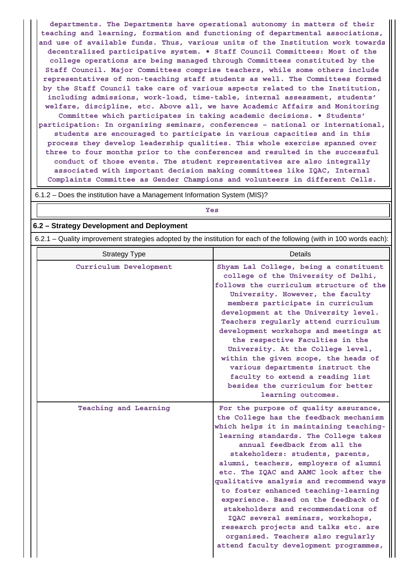**departments. The Departments have operational autonomy in matters of their teaching and learning, formation and functioning of departmental associations, and use of available funds. Thus, various units of the Institution work towards decentralized participative system. • Staff Council Committees: Most of the college operations are being managed through Committees constituted by the Staff Council. Major Committees comprise teachers, while some others include representatives of non-teaching staff students as well. The Committees formed by the Staff Council take care of various aspects related to the Institution, including admissions, work-load, time-table, internal assessment, students' welfare, discipline, etc. Above all, we have Academic Affairs and Monitoring Committee which participates in taking academic decisions. • Students' participation: In organizing seminars, conferences – national or international, students are encouraged to participate in various capacities and in this process they develop leadership qualities. This whole exercise spanned over three to four months prior to the conferences and resulted in the successful conduct of those events. The student representatives are also integrally associated with important decision making committees like IQAC, Internal Complaints Committee as Gender Champions and volunteers in different Cells.**

| 6.1.2 – Does the institution have a Management Information System (MIS)?                                              |                                                                                                                                                                                                                                                                                                                                                                                                                                                                                                                                                                               |  |  |  |  |  |  |  |
|-----------------------------------------------------------------------------------------------------------------------|-------------------------------------------------------------------------------------------------------------------------------------------------------------------------------------------------------------------------------------------------------------------------------------------------------------------------------------------------------------------------------------------------------------------------------------------------------------------------------------------------------------------------------------------------------------------------------|--|--|--|--|--|--|--|
|                                                                                                                       | Yes                                                                                                                                                                                                                                                                                                                                                                                                                                                                                                                                                                           |  |  |  |  |  |  |  |
| 6.2 - Strategy Development and Deployment                                                                             |                                                                                                                                                                                                                                                                                                                                                                                                                                                                                                                                                                               |  |  |  |  |  |  |  |
| 6.2.1 – Quality improvement strategies adopted by the institution for each of the following (with in 100 words each): |                                                                                                                                                                                                                                                                                                                                                                                                                                                                                                                                                                               |  |  |  |  |  |  |  |
| Details<br><b>Strategy Type</b>                                                                                       |                                                                                                                                                                                                                                                                                                                                                                                                                                                                                                                                                                               |  |  |  |  |  |  |  |
| Curriculum Development                                                                                                | Shyam Lal College, being a constituent<br>college of the University of Delhi,<br>follows the curriculum structure of the<br>University. However, the faculty<br>members participate in curriculum<br>development at the University level.<br>Teachers regularly attend curriculum<br>development workshops and meetings at<br>the respective Faculties in the<br>University. At the College level,<br>within the given scope, the heads of<br>various departments instruct the<br>faculty to extend a reading list<br>besides the curriculum for better<br>learning outcomes. |  |  |  |  |  |  |  |
| Teaching and Learning                                                                                                 | For the purpose of quality assurance,<br>the College has the feedback mechanism<br>which helps it in maintaining teaching-<br>learning standards. The College takes                                                                                                                                                                                                                                                                                                                                                                                                           |  |  |  |  |  |  |  |

**annual feedback from all the stakeholders: students, parents, alumni, teachers, employers of alumni etc. The IQAC and AAMC look after the qualitative analysis and recommend ways to foster enhanced teaching-learning experience. Based on the feedback of stakeholders and recommendations of IQAC several seminars, workshops, research projects and talks etc. are organised. Teachers also regularly attend faculty development programmes,**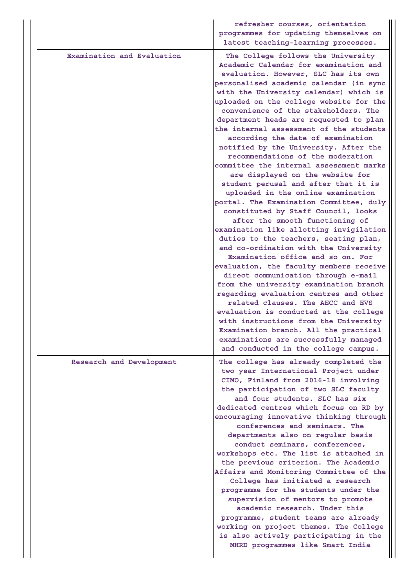|                            | refresher courses, orientation<br>programmes for updating themselves on<br>latest teaching-learning processes.                                                                                                                                                                                                                                                                                                                                                                                                                                                                                                                                                                                                                                                                                                                                                                                                                                                                                                                                                                                                                                                                                                                                                                                                                          |
|----------------------------|-----------------------------------------------------------------------------------------------------------------------------------------------------------------------------------------------------------------------------------------------------------------------------------------------------------------------------------------------------------------------------------------------------------------------------------------------------------------------------------------------------------------------------------------------------------------------------------------------------------------------------------------------------------------------------------------------------------------------------------------------------------------------------------------------------------------------------------------------------------------------------------------------------------------------------------------------------------------------------------------------------------------------------------------------------------------------------------------------------------------------------------------------------------------------------------------------------------------------------------------------------------------------------------------------------------------------------------------|
| Examination and Evaluation | The College follows the University<br>Academic Calendar for examination and<br>evaluation. However, SLC has its own<br>personalised academic calendar (in sync<br>with the University calendar) which is<br>uploaded on the college website for the<br>convenience of the stakeholders. The<br>department heads are requested to plan<br>the internal assessment of the students<br>according the date of examination<br>notified by the University. After the<br>recommendations of the moderation<br>committee the internal assessment marks<br>are displayed on the website for<br>student perusal and after that it is<br>uploaded in the online examination<br>portal. The Examination Committee, duly<br>constituted by Staff Council, looks<br>after the smooth functioning of<br>examination like allotting invigilation<br>duties to the teachers, seating plan,<br>and co-ordination with the University<br>Examination office and so on. For<br>evaluation, the faculty members receive<br>direct communication through e-mail<br>from the university examination branch<br>regarding evaluation centres and other<br>related clauses. The AECC and EVS<br>evaluation is conducted at the college<br>with instructions from the University<br>Examination branch. All the practical<br>examinations are successfully managed |
| Research and Development   | and conducted in the college campus.<br>The college has already completed the<br>two year International Project under<br>CIMO, Finland from 2016-18 involving<br>the participation of two SLC faculty<br>and four students. SLC has six<br>dedicated centres which focus on RD by<br>encouraging innovative thinking through<br>conferences and seminars. The<br>departments also on regular basis<br>conduct seminars, conferences,<br>workshops etc. The list is attached in<br>the previous criterion. The Academic<br>Affairs and Monitoring Committee of the<br>College has initiated a research<br>programme for the students under the<br>supervision of mentors to promote<br>academic research. Under this<br>programme, student teams are already<br>working on project themes. The College<br>is also actively participating in the<br>MHRD programmes like Smart India                                                                                                                                                                                                                                                                                                                                                                                                                                                      |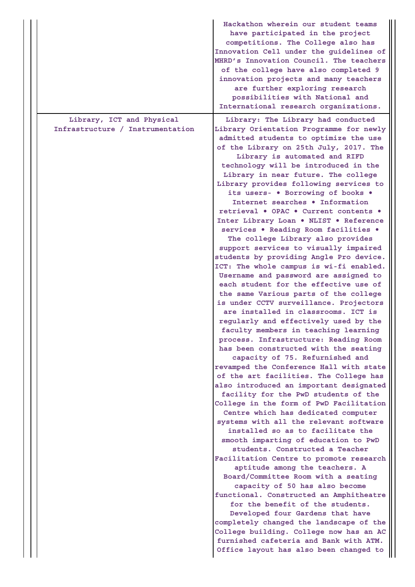|                                                               | Hackathon wherein our student teams<br>have participated in the project<br>competitions. The College also has<br>Innovation Cell under the guidelines of<br>MHRD's Innovation Council. The teachers<br>of the college have also completed 9<br>innovation projects and many teachers<br>are further exploring research<br>possibilities with National and<br>International research organizations.                                                                                                                                                                                                                                                                                                                                                                                                                                                                                                                                                                                                                                                                                                                                                                                                                                                                                                                                                                                                                                                                                                                                                                                                                                                                                                                                                                                                                                                                                                                                                                                         |
|---------------------------------------------------------------|--------------------------------------------------------------------------------------------------------------------------------------------------------------------------------------------------------------------------------------------------------------------------------------------------------------------------------------------------------------------------------------------------------------------------------------------------------------------------------------------------------------------------------------------------------------------------------------------------------------------------------------------------------------------------------------------------------------------------------------------------------------------------------------------------------------------------------------------------------------------------------------------------------------------------------------------------------------------------------------------------------------------------------------------------------------------------------------------------------------------------------------------------------------------------------------------------------------------------------------------------------------------------------------------------------------------------------------------------------------------------------------------------------------------------------------------------------------------------------------------------------------------------------------------------------------------------------------------------------------------------------------------------------------------------------------------------------------------------------------------------------------------------------------------------------------------------------------------------------------------------------------------------------------------------------------------------------------------------------------------|
| Library, ICT and Physical<br>Infrastructure / Instrumentation | Library: The Library had conducted<br>Library Orientation Programme for newly<br>admitted students to optimize the use<br>of the Library on 25th July, 2017. The<br>Library is automated and RIFD<br>technology will be introduced in the<br>Library in near future. The college<br>Library provides following services to<br>its users- . Borrowing of books .<br>Internet searches . Information<br>retrieval . OPAC . Current contents .<br>Inter Library Loan . NLIST . Reference<br>services . Reading Room facilities .<br>The college Library also provides<br>support services to visually impaired<br>students by providing Angle Pro device.<br>ICT: The whole campus is wi-fi enabled.<br>Username and password are assigned to<br>each student for the effective use of<br>the same Various parts of the college<br>is under CCTV surveillance. Projectors<br>are installed in classrooms. ICT is<br>regularly and effectively used by the<br>faculty members in teaching learning<br>process. Infrastructure: Reading Room<br>has been constructed with the seating<br>capacity of 75. Refurnished and<br>revamped the Conference Hall with state<br>of the art facilities. The College has<br>also introduced an important designated<br>facility for the PwD students of the<br>College in the form of PwD Facilitation<br>Centre which has dedicated computer<br>systems with all the relevant software<br>installed so as to facilitate the<br>smooth imparting of education to PwD<br>students. Constructed a Teacher<br>Facilitation Centre to promote research<br>aptitude among the teachers. A<br>Board/Committee Room with a seating<br>capacity of 50 has also become<br>functional. Constructed an Amphitheatre<br>for the benefit of the students.<br>Developed four Gardens that have<br>completely changed the landscape of the<br>College building. College now has an AC<br>furnished cafeteria and Bank with ATM.<br>Office layout has also been changed to |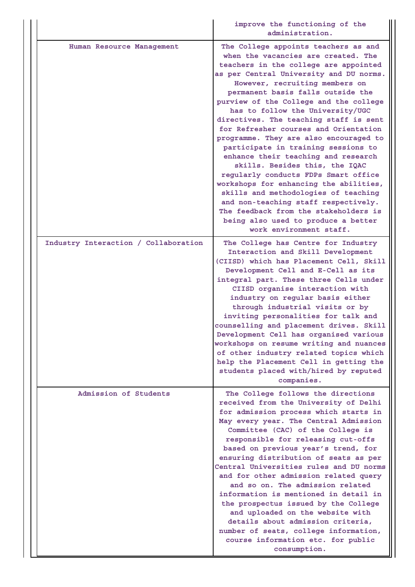|                                      | improve the functioning of the<br>administration.                                                                                                                                                                                                                                                                                                                                                                                                                                                                                                                                                                                                                                                                                                                                                                                              |
|--------------------------------------|------------------------------------------------------------------------------------------------------------------------------------------------------------------------------------------------------------------------------------------------------------------------------------------------------------------------------------------------------------------------------------------------------------------------------------------------------------------------------------------------------------------------------------------------------------------------------------------------------------------------------------------------------------------------------------------------------------------------------------------------------------------------------------------------------------------------------------------------|
| Human Resource Management            | The College appoints teachers as and<br>when the vacancies are created. The<br>teachers in the college are appointed<br>as per Central University and DU norms.<br>However, recruiting members on<br>permanent basis falls outside the<br>purview of the College and the college<br>has to follow the University/UGC<br>directives. The teaching staff is sent<br>for Refresher courses and Orientation<br>programme. They are also encouraged to<br>participate in training sessions to<br>enhance their teaching and research<br>skills. Besides this, the IQAC<br>regularly conducts FDPs Smart office<br>workshops for enhancing the abilities,<br>skills and methodologies of teaching<br>and non-teaching staff respectively.<br>The feedback from the stakeholders is<br>being also used to produce a better<br>work environment staff. |
| Industry Interaction / Collaboration | The College has Centre for Industry<br>Interaction and Skill Development<br>(CIISD) which has Placement Cell, Skill<br>Development Cell and E-Cell as its<br>integral part. These three Cells under<br>CIISD organise interaction with<br>industry on regular basis either<br>through industrial visits or by<br>inviting personalities for talk and<br>counselling and placement drives. Skill<br>Development Cell has organised various<br>workshops on resume writing and nuances<br>of other industry related topics which<br>help the Placement Cell in getting the<br>students placed with/hired by reputed<br>companies.                                                                                                                                                                                                                |
| Admission of Students                | The College follows the directions<br>received from the University of Delhi<br>for admission process which starts in<br>May every year. The Central Admission<br>Committee (CAC) of the College is<br>responsible for releasing cut-offs<br>based on previous year's trend, for<br>ensuring distribution of seats as per<br>Central Universities rules and DU norms<br>and for other admission related query<br>and so on. The admission related<br>information is mentioned in detail in<br>the prospectus issued by the College<br>and uploaded on the website with<br>details about admission criteria,<br>number of seats, college information,<br>course information etc. for public<br>consumption.                                                                                                                                      |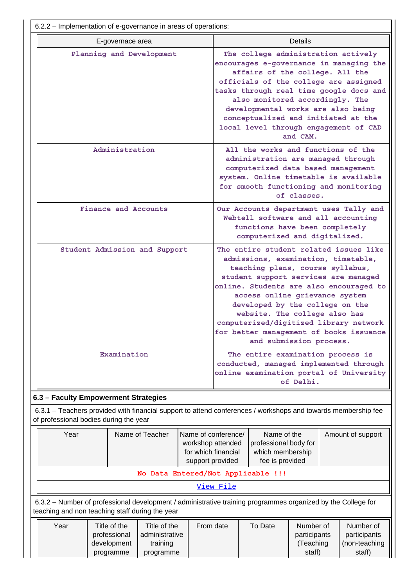|                                                                                                                                                                                             | 6.2.2 - Implementation of e-governance in areas of operations:                                                |  |                                                                                                                                                                                                                                                                                                                                                                                                                            |                                                                                                                                                                                                                                                                                                                                                                            |                |  |                                            |  |
|---------------------------------------------------------------------------------------------------------------------------------------------------------------------------------------------|---------------------------------------------------------------------------------------------------------------|--|----------------------------------------------------------------------------------------------------------------------------------------------------------------------------------------------------------------------------------------------------------------------------------------------------------------------------------------------------------------------------------------------------------------------------|----------------------------------------------------------------------------------------------------------------------------------------------------------------------------------------------------------------------------------------------------------------------------------------------------------------------------------------------------------------------------|----------------|--|--------------------------------------------|--|
|                                                                                                                                                                                             | E-governace area                                                                                              |  |                                                                                                                                                                                                                                                                                                                                                                                                                            |                                                                                                                                                                                                                                                                                                                                                                            | <b>Details</b> |  |                                            |  |
| Planning and Development                                                                                                                                                                    |                                                                                                               |  |                                                                                                                                                                                                                                                                                                                                                                                                                            | The college administration actively<br>encourages e-governance in managing the<br>affairs of the college. All the<br>officials of the college are assigned<br>tasks through real time google docs and<br>also monitored accordingly. The<br>developmental works are also being<br>conceptualized and initiated at the<br>local level through engagement of CAD<br>and CAM. |                |  |                                            |  |
| Administration                                                                                                                                                                              |                                                                                                               |  | All the works and functions of the<br>administration are managed through<br>computerized data based management<br>system. Online timetable is available<br>for smooth functioning and monitoring<br>of classes.                                                                                                                                                                                                            |                                                                                                                                                                                                                                                                                                                                                                            |                |  |                                            |  |
| Finance and Accounts                                                                                                                                                                        |                                                                                                               |  |                                                                                                                                                                                                                                                                                                                                                                                                                            | Our Accounts department uses Tally and<br>Webtell software and all accounting<br>functions have been completely<br>computerized and digitalized.                                                                                                                                                                                                                           |                |  |                                            |  |
| Student Admission and Support                                                                                                                                                               |                                                                                                               |  | The entire student related issues like<br>admissions, examination, timetable,<br>teaching plans, course syllabus,<br>student support services are managed<br>online. Students are also encouraged to<br>access online grievance system<br>developed by the college on the<br>website. The college also has<br>computerized/digitized library network<br>for better management of books issuance<br>and submission process. |                                                                                                                                                                                                                                                                                                                                                                            |                |  |                                            |  |
|                                                                                                                                                                                             | Examination                                                                                                   |  | The entire examination process is<br>conducted, managed implemented through<br>online examination portal of University<br>of Delhi.                                                                                                                                                                                                                                                                                        |                                                                                                                                                                                                                                                                                                                                                                            |                |  |                                            |  |
| 6.3 - Faculty Empowerment Strategies                                                                                                                                                        |                                                                                                               |  |                                                                                                                                                                                                                                                                                                                                                                                                                            |                                                                                                                                                                                                                                                                                                                                                                            |                |  |                                            |  |
| of professional bodies during the year                                                                                                                                                      | 6.3.1 – Teachers provided with financial support to attend conferences / workshops and towards membership fee |  |                                                                                                                                                                                                                                                                                                                                                                                                                            |                                                                                                                                                                                                                                                                                                                                                                            |                |  |                                            |  |
| Year<br>Name of Teacher<br>workshop attended<br>for which financial<br>support provided                                                                                                     |                                                                                                               |  | Name of the<br>Name of conference/<br>Amount of support<br>professional body for<br>which membership<br>fee is provided                                                                                                                                                                                                                                                                                                    |                                                                                                                                                                                                                                                                                                                                                                            |                |  |                                            |  |
|                                                                                                                                                                                             | No Data Entered/Not Applicable !!!                                                                            |  |                                                                                                                                                                                                                                                                                                                                                                                                                            |                                                                                                                                                                                                                                                                                                                                                                            |                |  |                                            |  |
|                                                                                                                                                                                             |                                                                                                               |  | View File                                                                                                                                                                                                                                                                                                                                                                                                                  |                                                                                                                                                                                                                                                                                                                                                                            |                |  |                                            |  |
|                                                                                                                                                                                             | 6.3.2 - Number of professional development / administrative training programmes organized by the College for  |  |                                                                                                                                                                                                                                                                                                                                                                                                                            |                                                                                                                                                                                                                                                                                                                                                                            |                |  |                                            |  |
| teaching and non teaching staff during the year<br>Year<br>Title of the<br>Title of the<br>From date<br>professional<br>administrative<br>development<br>training<br>programme<br>programme |                                                                                                               |  |                                                                                                                                                                                                                                                                                                                                                                                                                            | Number of<br>To Date<br>participants<br>(Teaching<br>staff)<br>staff)                                                                                                                                                                                                                                                                                                      |                |  | Number of<br>participants<br>(non-teaching |  |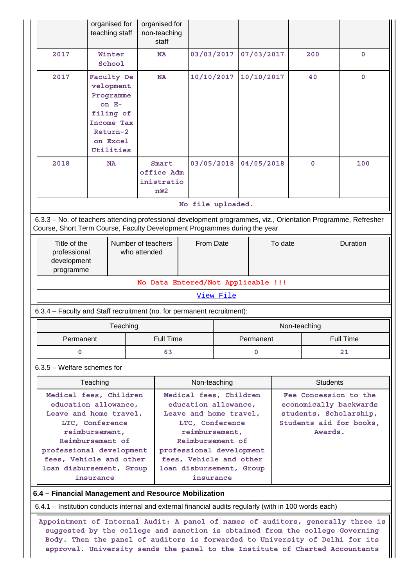|                                                                                                                                                                                                                                                                                                                                                                                                                                           | organised for<br>teaching staff                                                                                                                                                              | organised for<br>non-teaching<br>staff                                                                                                                                                     |                   |                                                                                                                                   |  |                                                                                                                 |             |  |
|-------------------------------------------------------------------------------------------------------------------------------------------------------------------------------------------------------------------------------------------------------------------------------------------------------------------------------------------------------------------------------------------------------------------------------------------|----------------------------------------------------------------------------------------------------------------------------------------------------------------------------------------------|--------------------------------------------------------------------------------------------------------------------------------------------------------------------------------------------|-------------------|-----------------------------------------------------------------------------------------------------------------------------------|--|-----------------------------------------------------------------------------------------------------------------|-------------|--|
| 2017                                                                                                                                                                                                                                                                                                                                                                                                                                      | Winter<br>School                                                                                                                                                                             | NA                                                                                                                                                                                         | 03/03/2017        | 07/03/2017                                                                                                                        |  | 200                                                                                                             | $\mathbf 0$ |  |
| 2017                                                                                                                                                                                                                                                                                                                                                                                                                                      | Faculty De<br>velopment<br>Programme<br>on E-<br>filing of<br><b>Income Tax</b><br>Return-2<br>on Excel<br>Utilities                                                                         | <b>NA</b>                                                                                                                                                                                  | 10/10/2017        | 10/10/2017                                                                                                                        |  | 40                                                                                                              | $\mathbf 0$ |  |
| 2018                                                                                                                                                                                                                                                                                                                                                                                                                                      | <b>NA</b>                                                                                                                                                                                    | Smart<br>office Adm<br>inistratio<br>n@2                                                                                                                                                   | 03/05/2018        | 04/05/2018                                                                                                                        |  | $\mathbf 0$                                                                                                     | 100         |  |
|                                                                                                                                                                                                                                                                                                                                                                                                                                           |                                                                                                                                                                                              |                                                                                                                                                                                            | No file uploaded. |                                                                                                                                   |  |                                                                                                                 |             |  |
|                                                                                                                                                                                                                                                                                                                                                                                                                                           |                                                                                                                                                                                              | 6.3.3 - No. of teachers attending professional development programmes, viz., Orientation Programme, Refresher<br>Course, Short Term Course, Faculty Development Programmes during the year |                   |                                                                                                                                   |  |                                                                                                                 |             |  |
|                                                                                                                                                                                                                                                                                                                                                                                                                                           | Title of the<br>Number of teachers<br>professional<br>who attended<br>development<br>programme                                                                                               |                                                                                                                                                                                            | From Date         | To date                                                                                                                           |  |                                                                                                                 | Duration    |  |
|                                                                                                                                                                                                                                                                                                                                                                                                                                           |                                                                                                                                                                                              | No Data Entered/Not Applicable !!!                                                                                                                                                         |                   |                                                                                                                                   |  |                                                                                                                 |             |  |
|                                                                                                                                                                                                                                                                                                                                                                                                                                           |                                                                                                                                                                                              |                                                                                                                                                                                            | View File         |                                                                                                                                   |  |                                                                                                                 |             |  |
|                                                                                                                                                                                                                                                                                                                                                                                                                                           |                                                                                                                                                                                              | 6.3.4 – Faculty and Staff recruitment (no. for permanent recruitment):                                                                                                                     |                   |                                                                                                                                   |  |                                                                                                                 |             |  |
|                                                                                                                                                                                                                                                                                                                                                                                                                                           | Teaching                                                                                                                                                                                     |                                                                                                                                                                                            |                   |                                                                                                                                   |  | Non-teaching                                                                                                    |             |  |
| Permanent                                                                                                                                                                                                                                                                                                                                                                                                                                 |                                                                                                                                                                                              | <b>Full Time</b>                                                                                                                                                                           |                   | Permanent                                                                                                                         |  |                                                                                                                 | Full Time   |  |
| $\Omega$                                                                                                                                                                                                                                                                                                                                                                                                                                  |                                                                                                                                                                                              | 63                                                                                                                                                                                         |                   | $\Omega$                                                                                                                          |  | 21                                                                                                              |             |  |
| $6.3.5$ – Welfare schemes for                                                                                                                                                                                                                                                                                                                                                                                                             |                                                                                                                                                                                              |                                                                                                                                                                                            |                   |                                                                                                                                   |  |                                                                                                                 |             |  |
|                                                                                                                                                                                                                                                                                                                                                                                                                                           |                                                                                                                                                                                              |                                                                                                                                                                                            |                   |                                                                                                                                   |  |                                                                                                                 |             |  |
|                                                                                                                                                                                                                                                                                                                                                                                                                                           | Teaching                                                                                                                                                                                     |                                                                                                                                                                                            | Non-teaching      |                                                                                                                                   |  | <b>Students</b>                                                                                                 |             |  |
|                                                                                                                                                                                                                                                                                                                                                                                                                                           | Medical fees, Children<br>education allowance,<br>Leave and home travel,<br>LTC, Conference<br>reimbursement,<br>Reimbursement of                                                            |                                                                                                                                                                                            |                   | Medical fees, Children<br>education allowance,<br>Leave and home travel,<br>LTC, Conference<br>reimbursement,<br>Reimbursement of |  | Fee Concession to the<br>economically backwards<br>students, Scholarship,<br>Students aid for books,<br>Awards. |             |  |
|                                                                                                                                                                                                                                                                                                                                                                                                                                           | professional development<br>professional development<br>fees, Vehicle and other<br>fees, Vehicle and other<br>loan disbursement, Group<br>loan disbursement, Group<br>insurance<br>insurance |                                                                                                                                                                                            |                   |                                                                                                                                   |  |                                                                                                                 |             |  |
|                                                                                                                                                                                                                                                                                                                                                                                                                                           |                                                                                                                                                                                              | 6.4 - Financial Management and Resource Mobilization                                                                                                                                       |                   |                                                                                                                                   |  |                                                                                                                 |             |  |
|                                                                                                                                                                                                                                                                                                                                                                                                                                           |                                                                                                                                                                                              |                                                                                                                                                                                            |                   |                                                                                                                                   |  |                                                                                                                 |             |  |
| 6.4.1 - Institution conducts internal and external financial audits regularly (with in 100 words each)<br>Appointment of Internal Audit: A panel of names of auditors, generally three is<br>suggested by the college and sanction is obtained from the college Governing<br>Body. Then the panel of auditors is forwarded to University of Delhi for its<br>approval. University sends the panel to the Institute of Charted Accountants |                                                                                                                                                                                              |                                                                                                                                                                                            |                   |                                                                                                                                   |  |                                                                                                                 |             |  |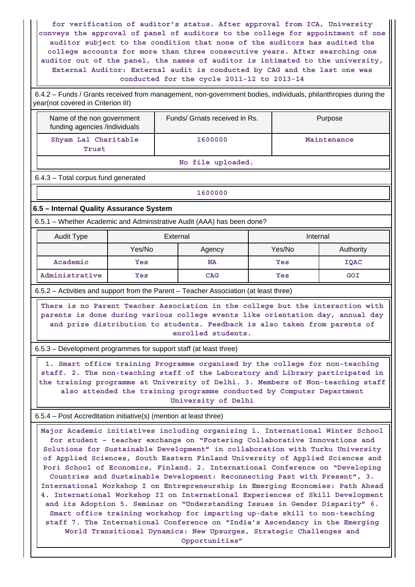**for verification of auditor's status. After approval from ICA, University conveys the approval of panel of auditors to the college for appointment of one auditor subject to the condition that none of the auditors has audited the college accounts for more than three consecutive years. After searching one auditor out of the panel, the names of auditor is intimated to the university, External Auditor: External audit is conducted by CAG and the last one was conducted for the cycle 2011-12 to 2013-14**

 6.4.2 – Funds / Grants received from management, non-government bodies, individuals, philanthropies during the year(not covered in Criterion III)

| Name of the non government<br>funding agencies /individuals | Funds/ Grnats received in Rs. | Purpose     |
|-------------------------------------------------------------|-------------------------------|-------------|
| Shyam Lal Charitable<br>Trust                               | 1600000                       | Maintenance |
|                                                             |                               |             |

**No file uploaded.**

6.4.3 – Total corpus fund generated

**1600000**

### **6.5 – Internal Quality Assurance System**

6.5.1 – Whether Academic and Administrative Audit (AAA) has been done?

| Audit Type     | External         |            | Internal |           |  |
|----------------|------------------|------------|----------|-----------|--|
|                | Yes/No<br>Agency |            | Yes/No   | Authority |  |
| Academic       | Yes              | <b>NA</b>  | Yes      | IQAC      |  |
| Administrative | Yes              | <b>CAG</b> | Yes      | GOI       |  |

6.5.2 – Activities and support from the Parent – Teacher Association (at least three)

 **There is no Parent Teacher Association in the college but the interaction with parents is done during various college events like orientation day, annual day and prize distribution to students. Feedback is also taken from parents of enrolled students.**

6.5.3 – Development programmes for support staff (at least three)

 **1. Smart office training Programme organised by the college for non-teaching staff. 2. The non-teaching staff of the Laboratory and Library participated in the training programme at University of Delhi. 3. Members of Non-teaching staff also attended the training programme conducted by Computer Department University of Delhi**

6.5.4 – Post Accreditation initiative(s) (mention at least three)

 **Major Academic initiatives including organizing 1. International Winter School for student – teacher exchange on "Fostering Collaborative Innovations and Solutions for Sustainable Development" in collaboration with Turku University of Applied Sciences, South Eastern Finland University of Applied Sciences and Pori School of Economics, Finland. 2. International Conference on "Developing Countries and Sustainable Development: Reconnecting Past with Present", 3. International Workshop I on Entrepreneurship in Emerging Economies: Path Ahead 4. International Workshop II on International Experiences of Skill Development and its Adoption 5. Seminar on "Understanding Issues in Gender Disparity" 6. Smart office training workshop for imparting up-date skill to non-teaching staff 7. The International Conference on "India's Ascendancy in the Emerging World Transitional Dynamics: New Upsurges, Strategic Challenges and Opportunities"**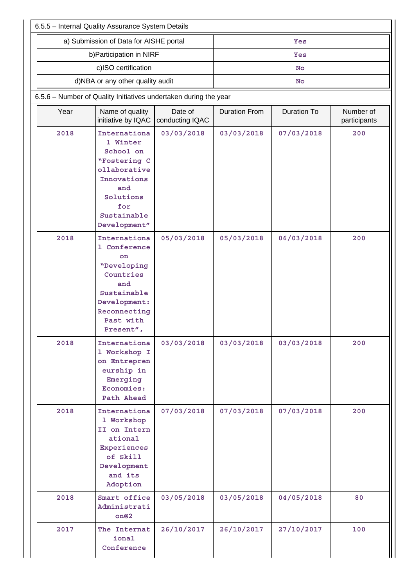| 6.5.5 - Internal Quality Assurance System Details |                                                                                                                                                |            |            |                    |                           |  |  |  |
|---------------------------------------------------|------------------------------------------------------------------------------------------------------------------------------------------------|------------|------------|--------------------|---------------------------|--|--|--|
|                                                   | a) Submission of Data for AISHE portal                                                                                                         |            | Yes        |                    |                           |  |  |  |
|                                                   | b) Participation in NIRF                                                                                                                       |            |            | Yes                |                           |  |  |  |
|                                                   | c)ISO certification                                                                                                                            |            | No         |                    |                           |  |  |  |
|                                                   | d)NBA or any other quality audit                                                                                                               |            |            | No                 |                           |  |  |  |
|                                                   | 6.5.6 - Number of Quality Initiatives undertaken during the year                                                                               |            |            |                    |                           |  |  |  |
| Year                                              | Date of<br>Name of quality<br>initiative by IQAC<br>conducting IQAC                                                                            |            |            | <b>Duration To</b> | Number of<br>participants |  |  |  |
| 2018                                              | Internationa<br>1 Winter<br>School on<br>"Fostering C<br>ollaborative<br>Innovations<br>and<br>Solutions<br>for<br>Sustainable<br>Development" | 03/03/2018 | 03/03/2018 | 07/03/2018         | 200                       |  |  |  |
| 2018                                              | Internationa<br>1 Conference<br>on<br>"Developing<br>Countries<br>and<br>Sustainable<br>Development:<br>Reconnecting<br>Past with<br>Present", | 05/03/2018 | 05/03/2018 | 06/03/2018         | 200                       |  |  |  |
| 2018                                              | Internationa<br>1 Workshop I<br>on Entrepren<br>eurship in<br>Emerging<br>Economies:<br>Path Ahead                                             | 03/03/2018 | 03/03/2018 | 03/03/2018         | 200                       |  |  |  |
| 2018                                              | Internationa<br>1 Workshop<br>II on Intern<br>ational<br>Experiences<br>of Skill<br>Development<br>and its<br>Adoption                         | 07/03/2018 | 07/03/2018 | 07/03/2018         | 200                       |  |  |  |
| 2018                                              | Smart office<br>Administrati<br>on@2                                                                                                           | 03/05/2018 | 03/05/2018 | 04/05/2018         | 80                        |  |  |  |
| 2017                                              | The Internat<br>ional<br>Conference                                                                                                            | 26/10/2017 | 26/10/2017 | 27/10/2017         | 100                       |  |  |  |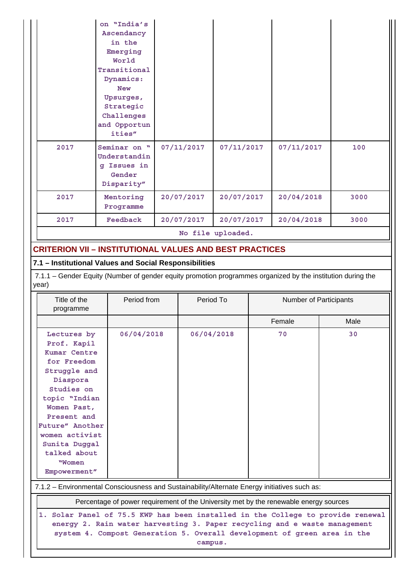|      | on "India's<br>Ascendancy<br>in the<br>Emerging<br>World<br>Transitional<br>Dynamics:<br><b>New</b><br>Upsurges,<br>Strategic<br>Challenges<br>and Opportun<br>ities" |            |                   |            |      |
|------|-----------------------------------------------------------------------------------------------------------------------------------------------------------------------|------------|-------------------|------------|------|
| 2017 | Seminar on "<br>Understandin<br>Issues in<br>$\sigma$<br>Gender<br>Disparity"                                                                                         | 07/11/2017 | 07/11/2017        | 07/11/2017 | 100  |
| 2017 | Mentoring<br>Programme                                                                                                                                                | 20/07/2017 | 20/07/2017        | 20/04/2018 | 3000 |
| 2017 | Feedback                                                                                                                                                              | 20/07/2017 | 20/07/2017        | 20/04/2018 | 3000 |
|      |                                                                                                                                                                       |            | No file uploaded. |            |      |

# **CRITERION VII – INSTITUTIONAL VALUES AND BEST PRACTICES**

## **7.1 – Institutional Values and Social Responsibilities**

 7.1.1 – Gender Equity (Number of gender equity promotion programmes organized by the institution during the year)

| Title of the<br>programme                                                                                                                                                                                                                          | Period from | Period To  | <b>Number of Participants</b> |      |  |  |
|----------------------------------------------------------------------------------------------------------------------------------------------------------------------------------------------------------------------------------------------------|-------------|------------|-------------------------------|------|--|--|
|                                                                                                                                                                                                                                                    |             |            | Female                        | Male |  |  |
| Lectures by<br>Prof. Kapil<br>Kumar Centre<br>for Freedom<br>Struggle and<br>Diaspora<br>Studies on<br>topic "Indian<br>Women Past,<br>Present and<br>Future" Another<br>women activist<br>Sunita Duggal<br>talked about<br>"Women<br>Empowerment" | 06/04/2018  | 06/04/2018 | 70                            | 30   |  |  |
| 7.1.2 - Environmental Consciousness and Sustainability/Alternate Energy initiatives such as:                                                                                                                                                       |             |            |                               |      |  |  |
| Percentage of power requirement of the University met by the renewable energy sources                                                                                                                                                              |             |            |                               |      |  |  |
| Solar Panel of 75.5 KWP has been installed in the College to provide renewal<br>1.<br>energy 2. Rain water harvesting 3. Paper recycling and e waste management                                                                                    |             |            |                               |      |  |  |

**energy 2. Rain water harvesting 3. Paper recycling and e waste management system 4. Compost Generation 5. Overall development of green area in the**

**campus.**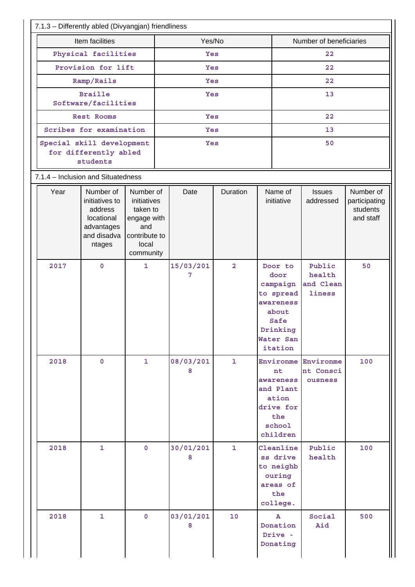|                                                                | Item facilities                                                                             |                                                                                                   | Yes/No         |                |                                                                                                            | Number of beneficiaries                     |                                                     |  |
|----------------------------------------------------------------|---------------------------------------------------------------------------------------------|---------------------------------------------------------------------------------------------------|----------------|----------------|------------------------------------------------------------------------------------------------------------|---------------------------------------------|-----------------------------------------------------|--|
| Physical facilities                                            |                                                                                             |                                                                                                   | Yes            |                |                                                                                                            | 22                                          |                                                     |  |
| Provision for lift                                             |                                                                                             |                                                                                                   | Yes            |                |                                                                                                            | 22                                          |                                                     |  |
| Ramp/Rails                                                     |                                                                                             |                                                                                                   | Yes            |                |                                                                                                            | 22                                          |                                                     |  |
| <b>Braille</b>                                                 |                                                                                             |                                                                                                   | Yes            |                |                                                                                                            | 13                                          |                                                     |  |
| Software/facilities                                            |                                                                                             |                                                                                                   |                |                |                                                                                                            |                                             |                                                     |  |
| Rest Rooms                                                     |                                                                                             |                                                                                                   | Yes            |                |                                                                                                            | 22                                          |                                                     |  |
| Scribes for examination                                        |                                                                                             |                                                                                                   | Yes            |                | 13                                                                                                         |                                             |                                                     |  |
| Special skill development<br>for differently abled<br>students |                                                                                             |                                                                                                   | Yes            |                |                                                                                                            | 50                                          |                                                     |  |
|                                                                | 7.1.4 - Inclusion and Situatedness                                                          |                                                                                                   |                |                |                                                                                                            |                                             |                                                     |  |
| Year                                                           | Number of<br>initiatives to<br>address<br>locational<br>advantages<br>and disadva<br>ntages | Number of<br>initiatives<br>taken to<br>engage with<br>and<br>contribute to<br>local<br>community | Date           | Duration       | Name of<br>initiative                                                                                      | <b>Issues</b><br>addressed                  | Number of<br>participating<br>students<br>and staff |  |
| 2017                                                           | $\mathbf 0$                                                                                 | $\mathbf{1}$                                                                                      | 15/03/201<br>7 | $\overline{a}$ | Door to<br>door<br>campaign<br>to spread<br>awareness<br>about<br>Safe<br>Drinking<br>Water San<br>itation | Public<br>health<br>and Clean<br>liness     | 50                                                  |  |
| 2018                                                           | $\mathbf 0$                                                                                 | $\mathbf{1}$                                                                                      | 08/03/201<br>8 | $\mathbf{1}$   | nt<br>awareness<br>and Plant<br>ation<br>drive for<br>the<br>school<br>children                            | Environme Environme<br>nt Consci<br>ousness | 100                                                 |  |
| 2018                                                           | 1                                                                                           | $\mathbf{0}$                                                                                      | 30/01/201<br>8 | $\mathbf{1}$   | Cleanline<br>ss drive<br>to neighb<br>ouring<br>areas of<br>the<br>college.                                | Public<br>health                            | 100                                                 |  |
| 2018                                                           | 1                                                                                           | $\mathbf 0$                                                                                       | 03/01/201<br>8 | 10             | $\mathbf{A}$<br>Donation<br>Drive -<br>Donating                                                            | Social<br>Aid                               | 500                                                 |  |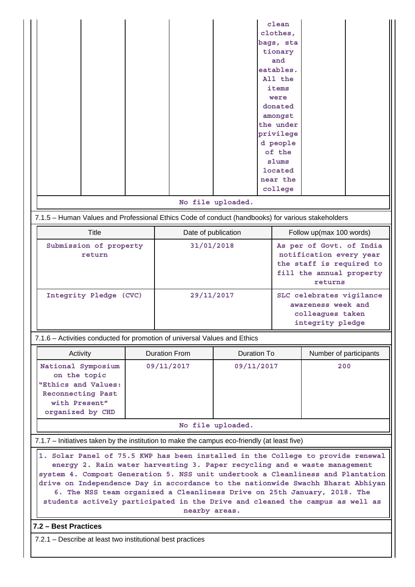| Activity                                                                                                            | <b>Duration From</b> | Duration To | Number of participants |
|---------------------------------------------------------------------------------------------------------------------|----------------------|-------------|------------------------|
| National Symposium<br>on the topic<br>"Ethics and Values:<br>Reconnecting Past<br>with Present"<br>organized by CHD | 09/11/2017           | 09/11/2017  | 200                    |

**No file uploaded.**

7.1.7 – Initiatives taken by the institution to make the campus eco-friendly (at least five)

 **1. Solar Panel of 75.5 KWP has been installed in the College to provide renewal energy 2. Rain water harvesting 3. Paper recycling and e waste management system 4. Compost Generation 5. NSS unit undertook a Cleanliness and Plantation drive on Independence Day in accordance to the nationwide Swachh Bharat Abhiyan 6. The NSS team organized a Cleanliness Drive on 25th January, 2018. The students actively participated in the Drive and cleaned the campus as well as nearby areas.**

```
7.2 – Best Practices
```
7.2.1 – Describe at least two institutional best practices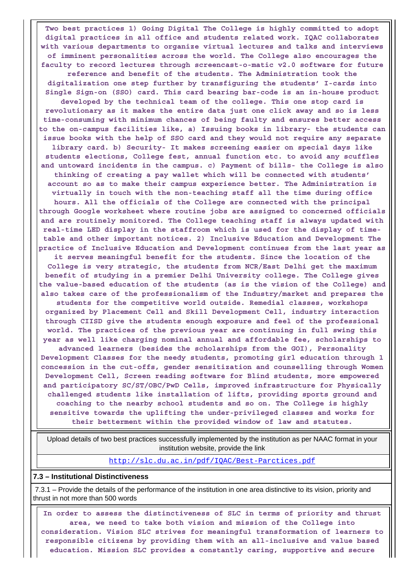**Two best practices 1) Going Digital The College is highly committed to adopt digital practices in all office and students related work. IQAC collaborates with various departments to organize virtual lectures and talks and interviews of imminent personalities across the world. The College also encourages the faculty to record lectures through screencast-o-matic v2.0 software for future reference and benefit of the students. The Administration took the digitalization one step further by transfiguring the students' I-cards into Single Sign-on (SSO) card. This card bearing bar-code is an in-house product developed by the technical team of the college. This one stop card is revolutionary as it makes the entire data just one click away and so is less time-consuming with minimum chances of being faulty and ensures better access to the on-campus facilities like, a) Issuing books in library- the students can issue books with the help of SSO card and they would not require any separate library card. b) Security- It makes screening easier on special days like students elections, College fest, annual function etc. to avoid any scuffles and untoward incidents in the campus. c) Payment of bills- the College is also thinking of creating a pay wallet which will be connected with students' account so as to make their campus experience better. The Administration is virtually in touch with the non-teaching staff all the time during office hours. All the officials of the College are connected with the principal through Google worksheet where routine jobs are assigned to concerned officials and are routinely monitored. The College teaching staff is always updated with real-time LED display in the staffroom which is used for the display of timetable and other important notices. 2) Inclusive Education and Development The practice of Inclusive Education and Development continues from the last year as it serves meaningful benefit for the students. Since the location of the College is very strategic, the students from NCR/East Delhi get the maximum benefit of studying in a premier Delhi University college. The College gives the value-based education of the students (as is the vision of the College) and also takes care of the professionalism of the Industry/market and prepares the students for the competitive world outside. Remedial classes, workshops organized by Placement Cell and Skill Development Cell, industry interaction through CIISD give the students enough exposure and feel of the professional world. The practices of the previous year are continuing in full swing this year as well like charging nominal annual and affordable fee, scholarships to advanced learners (besides the scholarships from the GOI), Personality Development Classes for the needy students, promoting girl education through 1 concession in the cut-offs, gender sensitization and counselling through Women Development Cell, Screen reading software for Blind students, more empowered and participatory SC/ST/OBC/PwD Cells, improved infrastructure for Physically challenged students like installation of lifts, providing sports ground and coaching to the nearby school students and so on. The College is highly sensitive towards the uplifting the under-privileged classes and works for their betterment within the provided window of law and statutes.**

 Upload details of two best practices successfully implemented by the institution as per NAAC format in your institution website, provide the link

<http://slc.du.ac.in/pdf/IQAC/Best-Parctices.pdf>

#### **7.3 – Institutional Distinctiveness**

 7.3.1 – Provide the details of the performance of the institution in one area distinctive to its vision, priority and thrust in not more than 500 words

 **In order to assess the distinctiveness of SLC in terms of priority and thrust area, we need to take both vision and mission of the College into consideration. Vision SLC strives for meaningful transformation of learners to responsible citizens by providing them with an all-inclusive and value based education. Mission SLC provides a constantly caring, supportive and secure**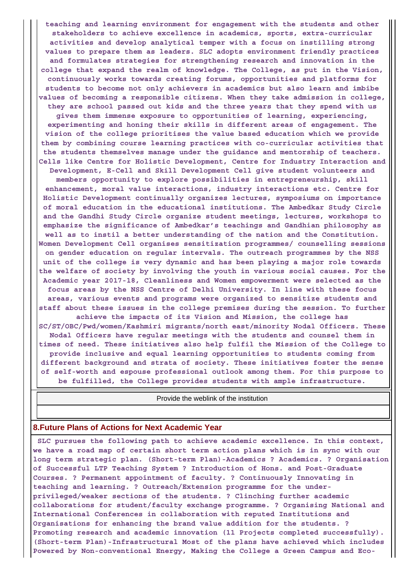**teaching and learning environment for engagement with the students and other stakeholders to achieve excellence in academics, sports, extra-curricular activities and develop analytical temper with a focus on instilling strong values to prepare them as leaders. SLC adopts environment friendly practices and formulates strategies for strengthening research and innovation in the college that expand the realm of knowledge. The College, as put in the Vision, continuously works towards creating forums, opportunities and platforms for students to become not only achievers in academics but also learn and imbibe values of becoming a responsible citizens. When they take admission in college, they are school passed out kids and the three years that they spend with us gives them immense exposure to opportunities of learning, experiencing, experimenting and honing their skills in different areas of engagement. The vision of the college prioritises the value based education which we provide them by combining course learning practices with co-curricular activities that the students themselves manage under the guidance and mentorship of teachers. Cells like Centre for Holistic Development, Centre for Industry Interaction and Development, E-Cell and Skill Development Cell give student volunteers and members opportunity to explore possibilities in entrepreneurship, skill enhancement, moral value interactions, industry interactions etc. Centre for Holistic Development continually organizes lectures, symposiums on importance of moral education in the educational institutions. The Ambedkar Study Circle and the Gandhi Study Circle organize student meetings, lectures, workshops to emphasize the significance of Ambedkar's teachings and Gandhian philosophy as well as to instil a better understanding of the nation and the Constitution. Women Development Cell organises sensitization programmes/ counselling sessions on gender education on regular intervals. The outreach programmes by the NSS unit of the college is very dynamic and has been playing a major role towards the welfare of society by involving the youth in various social causes. For the Academic year 2017-18, Cleanliness and Women empowerment were selected as the focus areas by the NSS Centre of Delhi University. In line with these focus areas, various events and programs were organized to sensitize students and staff about these issues in the college premises during the session. To further achieve the impacts of its Vision and Mission, the college has SC/ST/OBC/Pwd/women/Kashmiri migrants/north east/minority Nodal Officers. These Nodal Officers have regular meetings with the students and counsel them in times of need. These initiatives also help fulfil the Mission of the College to provide inclusive and equal learning opportunities to students coming from different background and strata of society. These initiatives foster the sense of self-worth and espouse professional outlook among them. For this purpose to be fulfilled, the College provides students with ample infrastructure.**

Provide the weblink of the institution

### **8.Future Plans of Actions for Next Academic Year**

 **SLC pursues the following path to achieve academic excellence. In this context, we have a road map of certain short term action plans which is in sync with our long term strategic plan. (Short-term Plan)-Academics ? Academics. ? Organisation of Successful LTP Teaching System ? Introduction of Hons. and Post-Graduate Courses. ? Permanent appointment of faculty. ? Continuously Innovating in teaching and learning. ? Outreach/Extension programme for the underprivileged/weaker sections of the students. ? Clinching further academic collaborations for student/faculty exchange programme. ? Organising National and International Conferences in collaboration with reputed Institutions and Organisations for enhancing the brand value addition for the students. ? Promoting research and academic innovation (11 Projects completed successfully). (Short-term Plan)-Infrastructural Most of the plans have achieved which includes Powered by Non-conventional Energy, Making the College a Green Campus and Eco-**